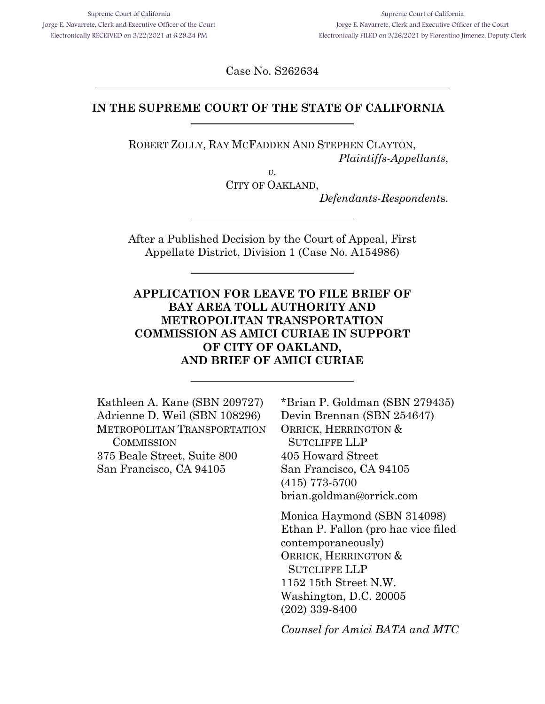Case No. S262634

## **IN THE SUPREME COURT OF THE STATE OF CALIFORNIA**

ROBERT ZOLLY, RAY MCFADDEN AND STEPHEN CLAYTON, *Plaintiffs-Appellants*,

> *v.* CITY OF OAKLAND,

> > *Defendants-Respondent*s.

After a Published Decision by the Court of Appeal, First Appellate District, Division 1 (Case No. A154986)

**APPLICATION FOR LEAVE TO FILE BRIEF OF BAY AREA TOLL AUTHORITY AND METROPOLITAN TRANSPORTATION COMMISSION AS AMICI CURIAE IN SUPPORT OF CITY OF OAKLAND, AND BRIEF OF AMICI CURIAE**

| Kathleen A. Kane (SBN 209727)<br>Adrienne D. Weil (SBN 108296)<br>METROPOLITAN TRANSPORTATION<br>COMMISSION<br>375 Beale Street, Suite 800<br>San Francisco, CA 94105 | *Brian P. Goldman (SBN 279435)<br>Devin Brennan (SBN 254647)<br>ORRICK, HERRINGTON &<br><b>SUTCLIFFE LLP</b><br>405 Howard Street<br>San Francisco, CA 94105<br>$(415)$ 773-5700<br>brian.goldman@orrick.com    |
|-----------------------------------------------------------------------------------------------------------------------------------------------------------------------|-----------------------------------------------------------------------------------------------------------------------------------------------------------------------------------------------------------------|
|                                                                                                                                                                       | Monica Haymond (SBN 314098)<br>Ethan P. Fallon (pro hac vice filed<br>contemporaneously)<br>ORRICK, HERRINGTON &<br><b>SUTCLIFFE LLP</b><br>1152 15th Street N.W.<br>Washington, D.C. 20005<br>$(202)$ 339-8400 |
|                                                                                                                                                                       | Counsel for Amici BATA and MTC                                                                                                                                                                                  |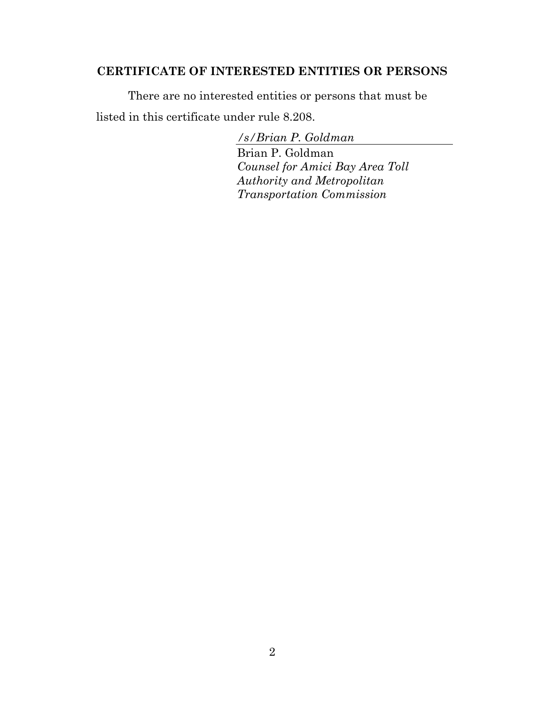# <span id="page-1-0"></span>**CERTIFICATE OF INTERESTED ENTITIES OR PERSONS**

There are no interested entities or persons that must be listed in this certificate under rule 8.208.

> */s/Brian P. Goldman* Brian P. Goldman *Counsel for Amici Bay Area Toll Authority and Metropolitan Transportation Commission*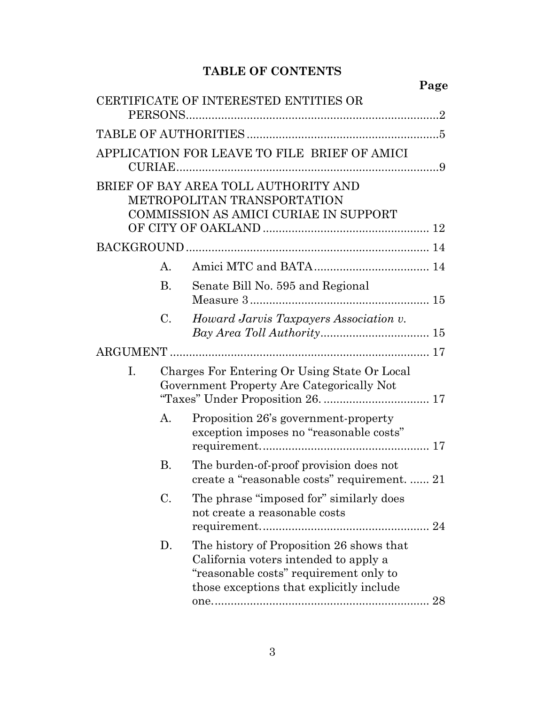# **TABLE OF CONTENTS**

**Page** 

|    |                |                                                                                                                                                                         | rage |
|----|----------------|-------------------------------------------------------------------------------------------------------------------------------------------------------------------------|------|
|    |                | CERTIFICATE OF INTERESTED ENTITIES OR                                                                                                                                   |      |
|    |                |                                                                                                                                                                         |      |
|    |                |                                                                                                                                                                         |      |
|    |                | APPLICATION FOR LEAVE TO FILE BRIEF OF AMICI                                                                                                                            |      |
|    |                | BRIEF OF BAY AREA TOLL AUTHORITY AND                                                                                                                                    |      |
|    |                | METROPOLITAN TRANSPORTATION                                                                                                                                             |      |
|    |                | <b>COMMISSION AS AMICI CURIAE IN SUPPORT</b>                                                                                                                            |      |
|    |                |                                                                                                                                                                         |      |
|    | A.             |                                                                                                                                                                         |      |
|    | <b>B.</b>      | Senate Bill No. 595 and Regional                                                                                                                                        |      |
|    | C.             | Howard Jarvis Taxpayers Association v.                                                                                                                                  |      |
|    |                |                                                                                                                                                                         |      |
| I. |                | Charges For Entering Or Using State Or Local<br>Government Property Are Categorically Not                                                                               |      |
|    | $\mathbf{A}$ . | Proposition 26's government-property<br>exception imposes no "reasonable costs"                                                                                         |      |
|    | В.             | The burden-of-proof provision does not<br>create a "reasonable costs" requirement.  21                                                                                  |      |
|    | C.             | The phrase "imposed for" similarly does<br>not create a reasonable costs                                                                                                |      |
|    | D.             | The history of Proposition 26 shows that<br>California voters intended to apply a<br>"reasonable costs" requirement only to<br>those exceptions that explicitly include |      |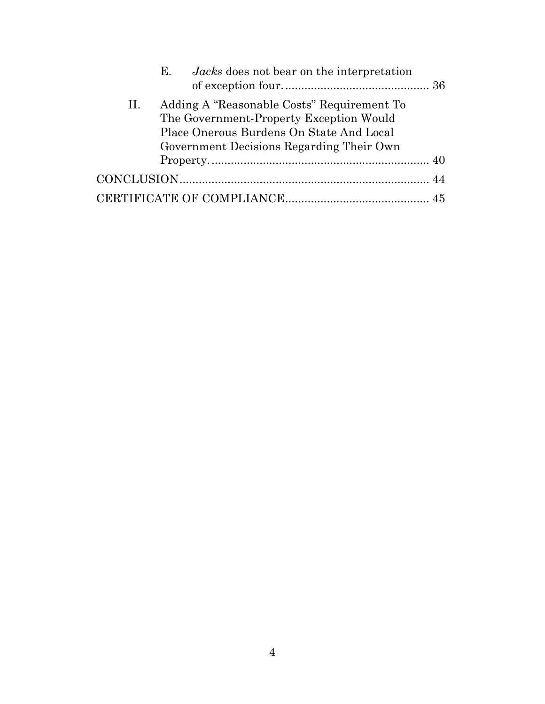|    | E. <i>Jacks</i> does not bear on the interpretation |  |
|----|-----------------------------------------------------|--|
| П. | Adding A "Reasonable Costs" Requirement To          |  |
|    | The Government-Property Exception Would             |  |
|    | Place Onerous Burdens On State And Local            |  |
|    | Government Decisions Regarding Their Own            |  |
|    |                                                     |  |
|    |                                                     |  |
|    |                                                     |  |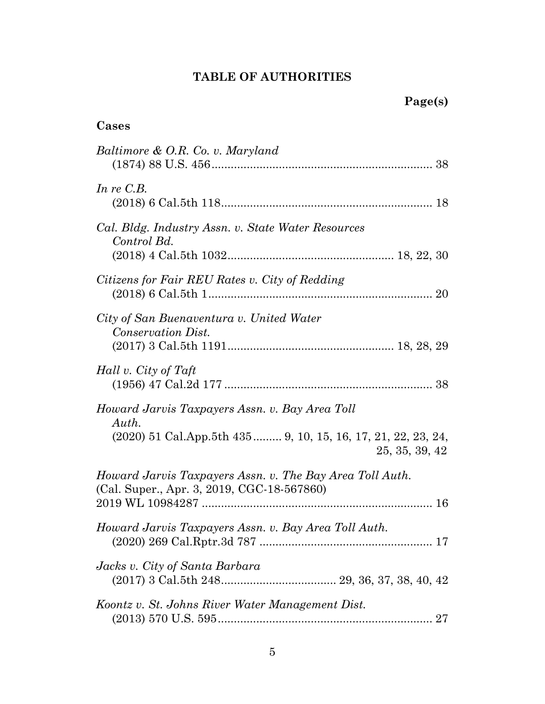# **TABLE OF AUTHORITIES**

# <span id="page-4-0"></span>**Cases**

| Baltimore & O.R. Co. v. Maryland                                                                                                            |
|---------------------------------------------------------------------------------------------------------------------------------------------|
| In re $C.B.$                                                                                                                                |
| Cal. Bldg. Industry Assn. v. State Water Resources<br>Control Bd.                                                                           |
| Citizens for Fair REU Rates v. City of Redding                                                                                              |
| City of San Buenaventura v. United Water<br>Conservation Dist.                                                                              |
| Hall v. City of Taft                                                                                                                        |
| Howard Jarvis Taxpayers Assn. v. Bay Area Toll<br>Auth.<br>$(2020)$ 51 Cal.App.5th 435 9, 10, 15, 16, 17, 21, 22, 23, 24,<br>25, 35, 39, 42 |
| Howard Jarvis Taxpayers Assn. v. The Bay Area Toll Auth.<br>(Cal. Super., Apr. 3, 2019, CGC-18-567860)                                      |
| Howard Jarvis Taxpayers Assn. v. Bay Area Toll Auth.<br>$\dots$ 17                                                                          |
| Jacks v. City of Santa Barbara                                                                                                              |
| Koontz v. St. Johns River Water Management Dist.<br>27                                                                                      |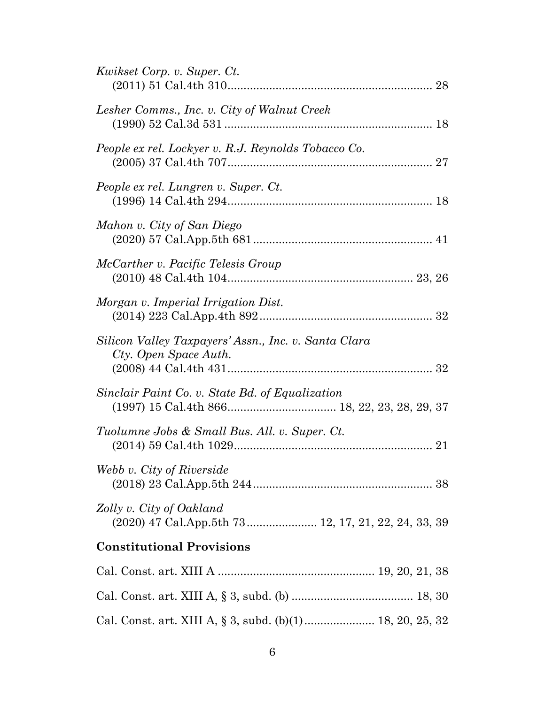| Kwikset Corp. v. Super. Ct.                                                     |  |
|---------------------------------------------------------------------------------|--|
| Lesher Comms., Inc. v. City of Walnut Creek                                     |  |
| People ex rel. Lockyer v. R.J. Reynolds Tobacco Co.                             |  |
| People ex rel. Lungren v. Super. Ct.                                            |  |
| Mahon v. City of San Diego                                                      |  |
| McCarther v. Pacific Telesis Group                                              |  |
| Morgan v. Imperial Irrigation Dist.                                             |  |
| Silicon Valley Taxpayers' Assn., Inc. v. Santa Clara<br>Cty. Open Space Auth.   |  |
| Sinclair Paint Co. v. State Bd. of Equalization                                 |  |
| Tuolumne Jobs & Small Bus. All. v. Super. Ct.                                   |  |
| Webb v. City of Riverside                                                       |  |
| Zolly v. City of Oakland<br>(2020) 47 Cal.App.5th 73 12, 17, 21, 22, 24, 33, 39 |  |
| <b>Constitutional Provisions</b>                                                |  |
|                                                                                 |  |
|                                                                                 |  |
|                                                                                 |  |

Cal. Const. art. XIII A, § 3, subd. (b)(1)...................... 18, 20, 25, 32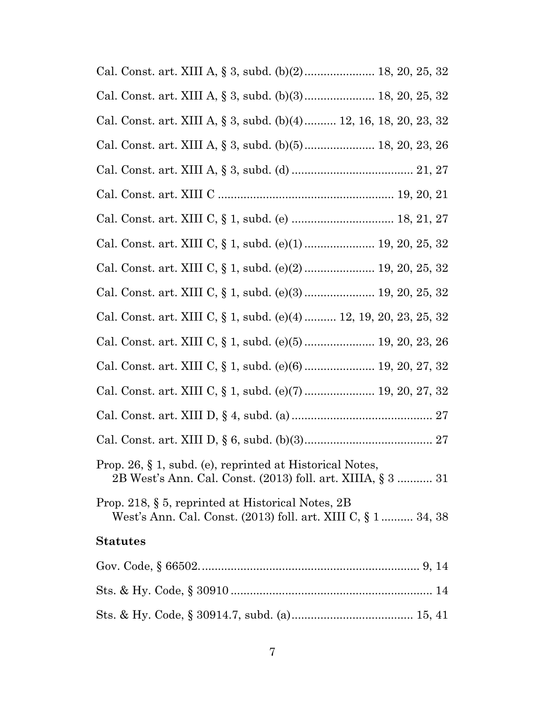| Cal. Const. art. XIII A, § 3, subd. (b)(2) 18, 20, 25, 32                                                               |
|-------------------------------------------------------------------------------------------------------------------------|
| Cal. Const. art. XIII A, § 3, subd. (b)(3) 18, 20, 25, 32                                                               |
| Cal. Const. art. XIII A, § 3, subd. (b)(4) 12, 16, 18, 20, 23, 32                                                       |
| Cal. Const. art. XIII A, § 3, subd. (b)(5) 18, 20, 23, 26                                                               |
|                                                                                                                         |
|                                                                                                                         |
|                                                                                                                         |
| Cal. Const. art. XIII C, § 1, subd. (e)(1) 19, 20, 25, 32                                                               |
| Cal. Const. art. XIII C, § 1, subd. (e)(2) 19, 20, 25, 32                                                               |
| Cal. Const. art. XIII C, § 1, subd. (e)(3)  19, 20, 25, 32                                                              |
| Cal. Const. art. XIII C, § 1, subd. (e)(4)  12, 19, 20, 23, 25, 32                                                      |
| Cal. Const. art. XIII C, § 1, subd. (e)(5) 19, 20, 23, 26                                                               |
| Cal. Const. art. XIII C, § 1, subd. (e)(6) 19, 20, 27, 32                                                               |
| Cal. Const. art. XIII C, § 1, subd. (e)(7)  19, 20, 27, 32                                                              |
|                                                                                                                         |
|                                                                                                                         |
| Prop. 26, § 1, subd. (e), reprinted at Historical Notes,<br>2B West's Ann. Cal. Const. (2013) foll. art. XIIIA, § 3  31 |
| Prop. 218, $\S$ 5, reprinted at Historical Notes, 2B<br>West's Ann. Cal. Const. (2013) foll. art. XIII C, § 1 34, 38    |
| <b>Statutes</b>                                                                                                         |
|                                                                                                                         |
|                                                                                                                         |
|                                                                                                                         |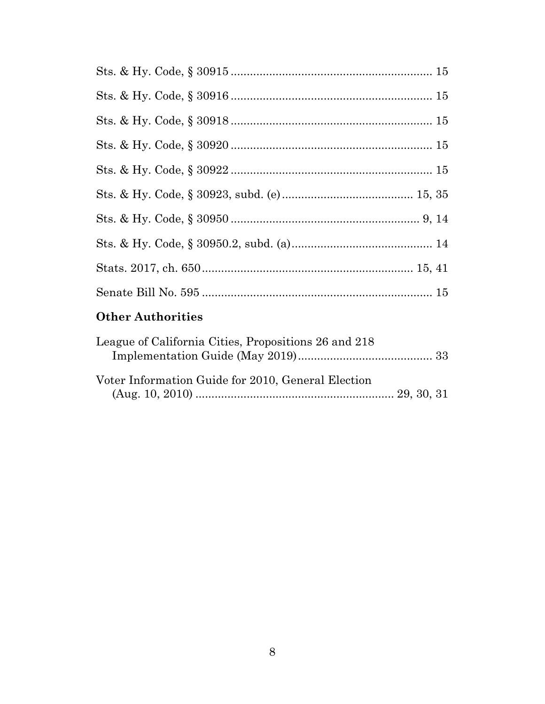| $\bigcap_{i=1}^n A_i$ and $A_i$ and $A_i$ and $A_i$ and $A_i$ and $A_i$ and $A_i$ and $A_i$ and $A_i$ and $A_i$ and $A_i$ and $A_i$ and $A_i$ and $A_i$ and $A_i$ and $A_i$ and $A_i$ and $A_i$ and $A_i$ and $A_i$ and $A_i$ and $A_i$ and $A_i$ and $A_i$ |  |
|-------------------------------------------------------------------------------------------------------------------------------------------------------------------------------------------------------------------------------------------------------------|--|

#### **Other Authorities**

| League of California Cities, Propositions 26 and 218 |  |
|------------------------------------------------------|--|
|                                                      |  |
|                                                      |  |
| Voter Information Guide for 2010, General Election   |  |
|                                                      |  |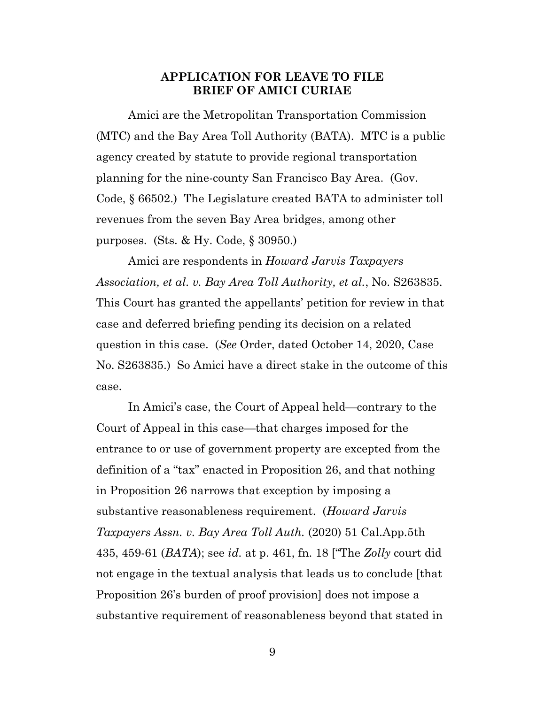## **APPLICATION FOR LEAVE TO FILE BRIEF OF AMICI CURIAE**

<span id="page-8-0"></span>Amici are the Metropolitan Transportation Commission (MTC) and the Bay Area Toll Authority (BATA). MTC is a public agency created by statute to provide regional transportation planning for the nine-county San Francisco Bay Area. (Gov. Code, § 66502.) The Legislature created BATA to administer toll revenues from the seven Bay Area bridges, among other purposes. (Sts. & Hy. Code, § 30950.)

Amici are respondents in *Howard Jarvis Taxpayers Association, et al. v. Bay Area Toll Authority, et al.*, No. S263835. This Court has granted the appellants' petition for review in that case and deferred briefing pending its decision on a related question in this case. (*See* Order, dated October 14, 2020, Case No. S263835.) So Amici have a direct stake in the outcome of this case.

In Amici's case, the Court of Appeal held—contrary to the Court of Appeal in this case—that charges imposed for the entrance to or use of government property are excepted from the definition of a "tax" enacted in Proposition 26, and that nothing in Proposition 26 narrows that exception by imposing a substantive reasonableness requirement. (*Howard Jarvis Taxpayers Assn. v. Bay Area Toll Auth.* (2020) 51 Cal.App.5th 435, 459-61 (*BATA*); see *id.* at p. 461, fn. 18 ["The *Zolly* court did not engage in the textual analysis that leads us to conclude [that Proposition 26's burden of proof provision] does not impose a substantive requirement of reasonableness beyond that stated in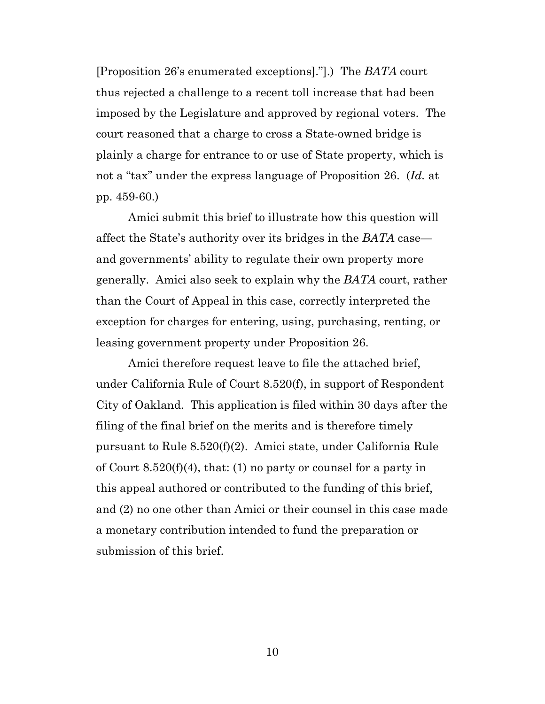[Proposition 26's enumerated exceptions]."].) The *BATA* court thus rejected a challenge to a recent toll increase that had been imposed by the Legislature and approved by regional voters. The court reasoned that a charge to cross a State-owned bridge is plainly a charge for entrance to or use of State property, which is not a "tax" under the express language of Proposition 26. (*Id.* at pp. 459-60.)

Amici submit this brief to illustrate how this question will affect the State's authority over its bridges in the *BATA* case and governments' ability to regulate their own property more generally. Amici also seek to explain why the *BATA* court, rather than the Court of Appeal in this case, correctly interpreted the exception for charges for entering, using, purchasing, renting, or leasing government property under Proposition 26.

Amici therefore request leave to file the attached brief, under California Rule of Court 8.520(f), in support of Respondent City of Oakland. This application is filed within 30 days after the filing of the final brief on the merits and is therefore timely pursuant to Rule 8.520(f)(2). Amici state, under California Rule of Court 8.520(f)(4), that: (1) no party or counsel for a party in this appeal authored or contributed to the funding of this brief, and (2) no one other than Amici or their counsel in this case made a monetary contribution intended to fund the preparation or submission of this brief.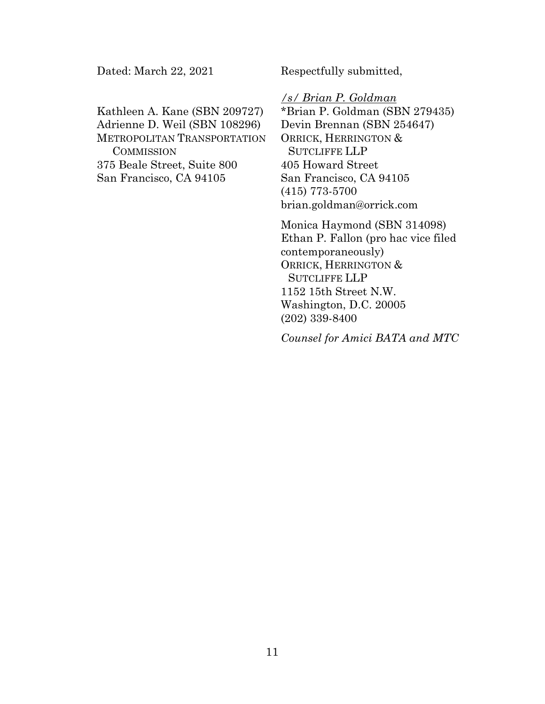Dated: March 22, 2021

Kathleen A. Kane (SBN 209727) Adrienne D. Weil (SBN 108296) METROPOLITAN TRANSPORTATION **COMMISSION** 375 Beale Street, Suite 800 San Francisco, CA 94105

Respectfully submitted,

*/s/ Brian P. Goldman* \*Brian P. Goldman (SBN 279435) Devin Brennan (SBN 254647) ORRICK, HERRINGTON & SUTCLIFFE LLP 405 Howard Street San Francisco, CA 94105 (415) 773-5700 [brian.goldman@orrick.com](mailto:Brian.goldman@orrick.com)

Monica Haymond (SBN 314098) Ethan P. Fallon (pro hac vice filed contemporaneously) ORRICK, HERRINGTON & SUTCLIFFE LLP 1152 15th Street N.W. Washington, D.C. 20005 (202) 339-8400

*Counsel for Amici BATA and MTC*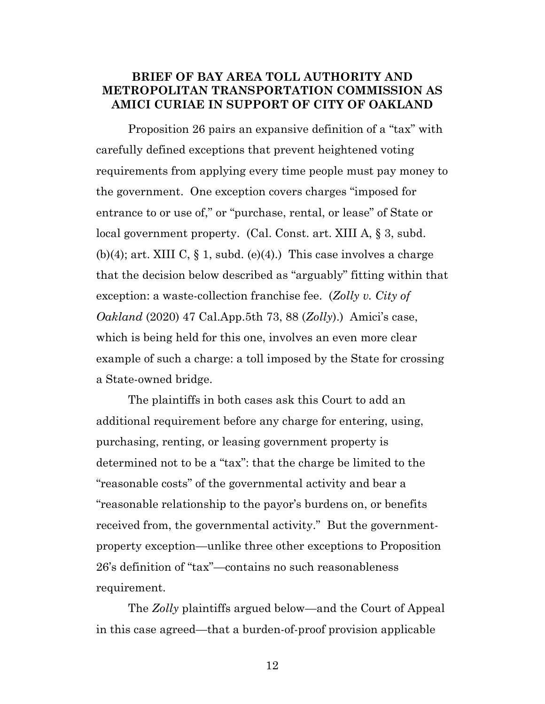## <span id="page-11-0"></span>**BRIEF OF BAY AREA TOLL AUTHORITY AND METROPOLITAN TRANSPORTATION COMMISSION AS AMICI CURIAE IN SUPPORT OF CITY OF OAKLAND**

Proposition 26 pairs an expansive definition of a "tax" with carefully defined exceptions that prevent heightened voting requirements from applying every time people must pay money to the government. One exception covers charges "imposed for entrance to or use of," or "purchase, rental, or lease" of State or local government property. (Cal. Const. art. XIII A, § 3, subd. (b)(4); art. XIII C,  $\S$  1, subd. (e)(4).) This case involves a charge that the decision below described as "arguably" fitting within that exception: a waste-collection franchise fee. (*Zolly v. City of Oakland* (2020) 47 Cal.App.5th 73, 88 (*Zolly*).) Amici's case, which is being held for this one, involves an even more clear example of such a charge: a toll imposed by the State for crossing a State-owned bridge.

The plaintiffs in both cases ask this Court to add an additional requirement before any charge for entering, using, purchasing, renting, or leasing government property is determined not to be a "tax": that the charge be limited to the "reasonable costs" of the governmental activity and bear a "reasonable relationship to the payor's burdens on, or benefits received from, the governmental activity." But the governmentproperty exception—unlike three other exceptions to Proposition 26's definition of "tax"—contains no such reasonableness requirement.

The *Zolly* plaintiffs argued below—and the Court of Appeal in this case agreed—that a burden-of-proof provision applicable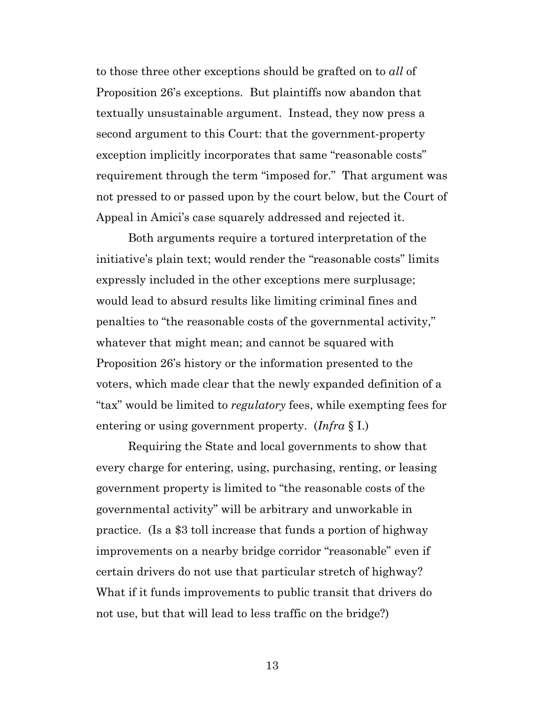to those three other exceptions should be grafted on to *all* of Proposition 26's exceptions. But plaintiffs now abandon that textually unsustainable argument. Instead, they now press a second argument to this Court: that the government-property exception implicitly incorporates that same "reasonable costs" requirement through the term "imposed for." That argument was not pressed to or passed upon by the court below, but the Court of Appeal in Amici's case squarely addressed and rejected it.

Both arguments require a tortured interpretation of the initiative's plain text; would render the "reasonable costs" limits expressly included in the other exceptions mere surplusage; would lead to absurd results like limiting criminal fines and penalties to "the reasonable costs of the governmental activity," whatever that might mean; and cannot be squared with Proposition 26's history or the information presented to the voters, which made clear that the newly expanded definition of a "tax" would be limited to *regulatory* fees, while exempting fees for entering or using government property. (*Infra* § I.)

Requiring the State and local governments to show that every charge for entering, using, purchasing, renting, or leasing government property is limited to "the reasonable costs of the governmental activity" will be arbitrary and unworkable in practice. (Is a \$3 toll increase that funds a portion of highway improvements on a nearby bridge corridor "reasonable" even if certain drivers do not use that particular stretch of highway? What if it funds improvements to public transit that drivers do not use, but that will lead to less traffic on the bridge?)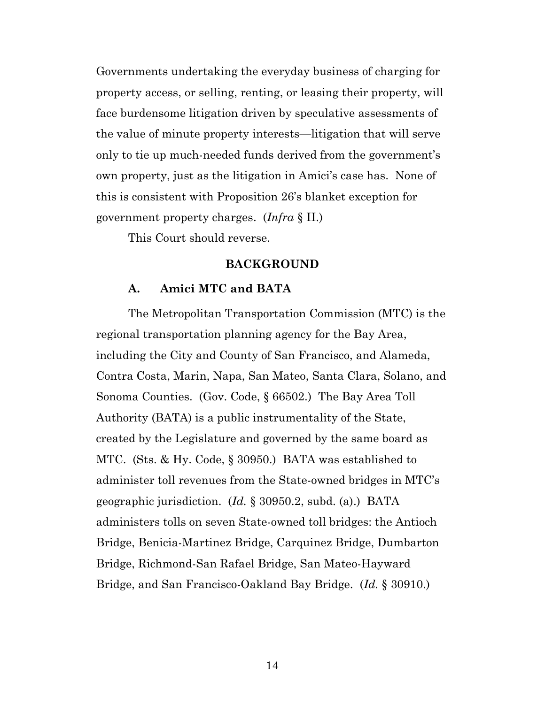Governments undertaking the everyday business of charging for property access, or selling, renting, or leasing their property, will face burdensome litigation driven by speculative assessments of the value of minute property interests—litigation that will serve only to tie up much-needed funds derived from the government's own property, just as the litigation in Amici's case has. None of this is consistent with Proposition 26's blanket exception for government property charges. (*Infra* § II.)

<span id="page-13-0"></span>This Court should reverse.

#### **BACKGROUND**

#### **A. Amici MTC and BATA**

<span id="page-13-1"></span>The Metropolitan Transportation Commission (MTC) is the regional transportation planning agency for the Bay Area, including the City and County of San Francisco, and Alameda, Contra Costa, Marin, Napa, San Mateo, Santa Clara, Solano, and Sonoma Counties. (Gov. Code, § 66502.) The Bay Area Toll Authority (BATA) is a public instrumentality of the State, created by the Legislature and governed by the same board as MTC. (Sts. & Hy. Code, § 30950.) BATA was established to administer toll revenues from the State-owned bridges in MTC's geographic jurisdiction. (*Id.* § 30950.2, subd. (a).) BATA administers tolls on seven State-owned toll bridges: the Antioch Bridge, Benicia-Martinez Bridge, Carquinez Bridge, Dumbarton Bridge, Richmond-San Rafael Bridge, San Mateo-Hayward Bridge, and San Francisco-Oakland Bay Bridge. (*Id.* § 30910.)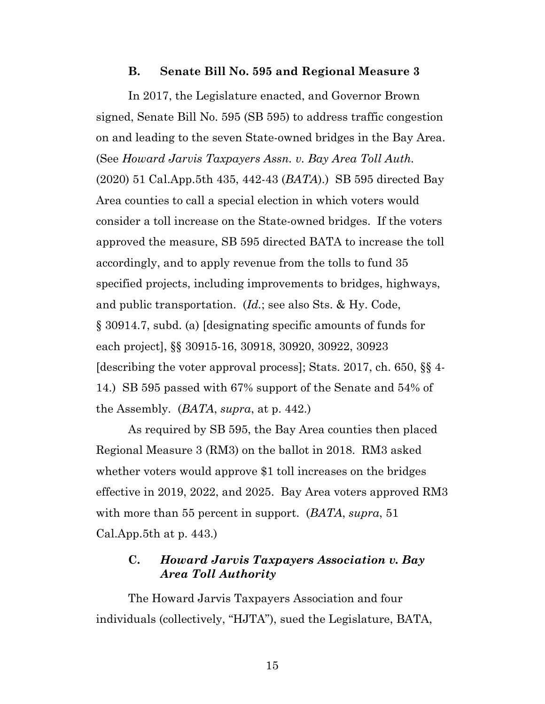#### **B. Senate Bill No. 595 and Regional Measure 3**

<span id="page-14-0"></span>In 2017, the Legislature enacted, and Governor Brown signed, Senate Bill No. 595 (SB 595) to address traffic congestion on and leading to the seven State-owned bridges in the Bay Area. (See *Howard Jarvis Taxpayers Assn. v. Bay Area Toll Auth.* (2020) 51 Cal.App.5th 435, 442-43 (*BATA*).) SB 595 directed Bay Area counties to call a special election in which voters would consider a toll increase on the State-owned bridges. If the voters approved the measure, SB 595 directed BATA to increase the toll accordingly, and to apply revenue from the tolls to fund 35 specified projects, including improvements to bridges, highways, and public transportation. (*Id.*; see also Sts. & Hy. Code, § 30914.7, subd. (a) [designating specific amounts of funds for each project], §§ 30915-16, 30918, 30920, 30922, 30923 [describing the voter approval process]; Stats. 2017, ch. 650, §§ 4- 14.) SB 595 passed with 67% support of the Senate and 54% of the Assembly. (*BATA*, *supra*, at p. 442.)

As required by SB 595, the Bay Area counties then placed Regional Measure 3 (RM3) on the ballot in 2018. RM3 asked whether voters would approve \$1 toll increases on the bridges effective in 2019, 2022, and 2025. Bay Area voters approved RM3 with more than 55 percent in support. (*BATA*, *supra*, 51 Cal.App.5th at p. 443.)

### <span id="page-14-1"></span>**C.** *Howard Jarvis Taxpayers Association v. Bay Area Toll Authority*

The Howard Jarvis Taxpayers Association and four individuals (collectively, "HJTA"), sued the Legislature, BATA,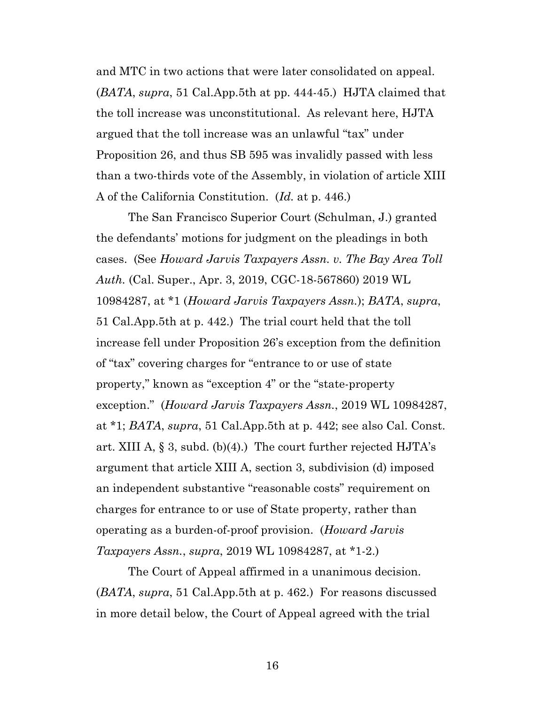and MTC in two actions that were later consolidated on appeal. (*BATA*, *supra*, 51 Cal.App.5th at pp. 444-45.) HJTA claimed that the toll increase was unconstitutional. As relevant here, HJTA argued that the toll increase was an unlawful "tax" under Proposition 26, and thus SB 595 was invalidly passed with less than a two-thirds vote of the Assembly, in violation of article XIII A of the California Constitution. (*Id.* at p. 446.)

The San Francisco Superior Court (Schulman, J.) granted the defendants' motions for judgment on the pleadings in both cases. (See *Howard Jarvis Taxpayers Assn. v. The Bay Area Toll Auth.* (Cal. Super., Apr. 3, 2019, CGC-18-567860) 2019 WL 10984287, at \*1 (*Howard Jarvis Taxpayers Assn.*); *BATA*, *supra*, 51 Cal.App.5th at p. 442.) The trial court held that the toll increase fell under Proposition 26's exception from the definition of "tax" covering charges for "entrance to or use of state property," known as "exception 4" or the "state-property exception." (*Howard Jarvis Taxpayers Assn.*, 2019 WL 10984287, at \*1; *BATA*, *supra*, 51 Cal.App.5th at p. 442; see also Cal. Const. art. XIII A,  $\S$  3, subd. (b)(4).) The court further rejected HJTA's argument that article XIII A, section 3, subdivision (d) imposed an independent substantive "reasonable costs" requirement on charges for entrance to or use of State property, rather than operating as a burden-of-proof provision. (*Howard Jarvis Taxpayers Assn.*, *supra*, 2019 WL 10984287, at \*1-2.)

The Court of Appeal affirmed in a unanimous decision. (*BATA*, *supra*, 51 Cal.App.5th at p. 462.) For reasons discussed in more detail below, the Court of Appeal agreed with the trial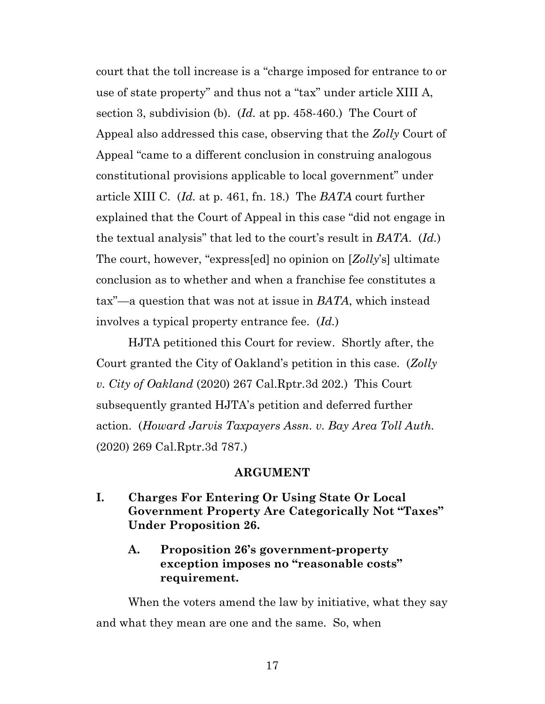court that the toll increase is a "charge imposed for entrance to or use of state property" and thus not a "tax" under article XIII A, section 3, subdivision (b). (*Id.* at pp. 458-460.) The Court of Appeal also addressed this case, observing that the *Zolly* Court of Appeal "came to a different conclusion in construing analogous constitutional provisions applicable to local government" under article XIII C. (*Id.* at p. 461, fn. 18.) The *BATA* court further explained that the Court of Appeal in this case "did not engage in the textual analysis" that led to the court's result in *BATA*. (*Id.*) The court, however, "express[ed] no opinion on [*Zolly*'s] ultimate conclusion as to whether and when a franchise fee constitutes a tax"—a question that was not at issue in *BATA*, which instead involves a typical property entrance fee. (*Id.*)

HJTA petitioned this Court for review. Shortly after, the Court granted the City of Oakland's petition in this case. (*Zolly v. City of Oakland* (2020) 267 Cal.Rptr.3d 202.) This Court subsequently granted HJTA's petition and deferred further action. (*Howard Jarvis Taxpayers Assn. v. Bay Area Toll Auth.* (2020) 269 Cal.Rptr.3d 787.)

#### **ARGUMENT**

- <span id="page-16-2"></span><span id="page-16-1"></span><span id="page-16-0"></span>**I. Charges For Entering Or Using State Or Local Government Property Are Categorically Not "Taxes" Under Proposition 26.**
	- **A. Proposition 26's government-property exception imposes no "reasonable costs" requirement.**

When the voters amend the law by initiative, what they say and what they mean are one and the same. So, when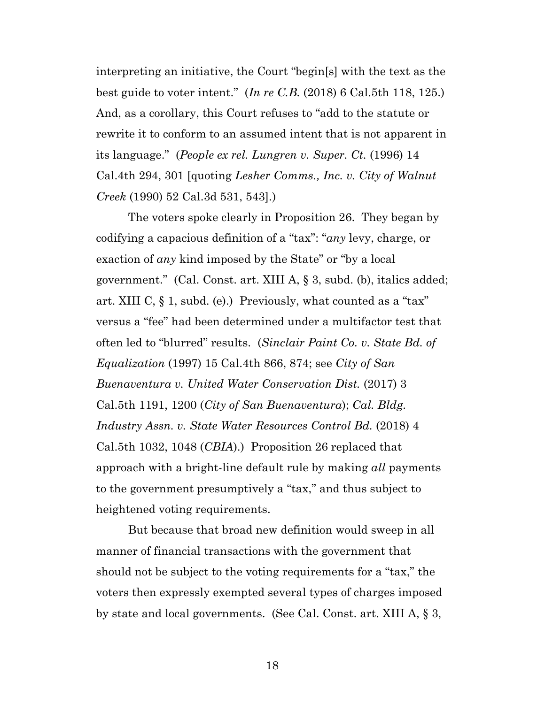interpreting an initiative, the Court "begin[s] with the text as the best guide to voter intent." (*In re C.B.* (2018) 6 Cal.5th 118, 125.) And, as a corollary, this Court refuses to "add to the statute or rewrite it to conform to an assumed intent that is not apparent in its language." (*People ex rel. Lungren v. Super. Ct.* (1996) 14 Cal.4th 294, 301 [quoting *Lesher Comms., Inc. v. City of Walnut Creek* (1990) 52 Cal.3d 531, 543].)

The voters spoke clearly in Proposition 26. They began by codifying a capacious definition of a "tax": "*any* levy, charge, or exaction of *any* kind imposed by the State" or "by a local government." (Cal. Const. art. XIII A, § 3, subd. (b), italics added; art. XIII C, § 1, subd. (e).) Previously, what counted as a "tax" versus a "fee" had been determined under a multifactor test that often led to "blurred" results. (*Sinclair Paint Co. v. State Bd. of Equalization* (1997) 15 Cal.4th 866, 874; see *City of San Buenaventura v. United Water Conservation Dist.* (2017) 3 Cal.5th 1191, 1200 (*City of San Buenaventura*); *Cal. Bldg. Industry Assn. v. State Water Resources Control Bd.* (2018) 4 Cal.5th 1032, 1048 (*CBIA*).) Proposition 26 replaced that approach with a bright-line default rule by making *all* payments to the government presumptively a "tax," and thus subject to heightened voting requirements.

But because that broad new definition would sweep in all manner of financial transactions with the government that should not be subject to the voting requirements for a "tax," the voters then expressly exempted several types of charges imposed by state and local governments. (See Cal. Const. art. XIII A, § 3,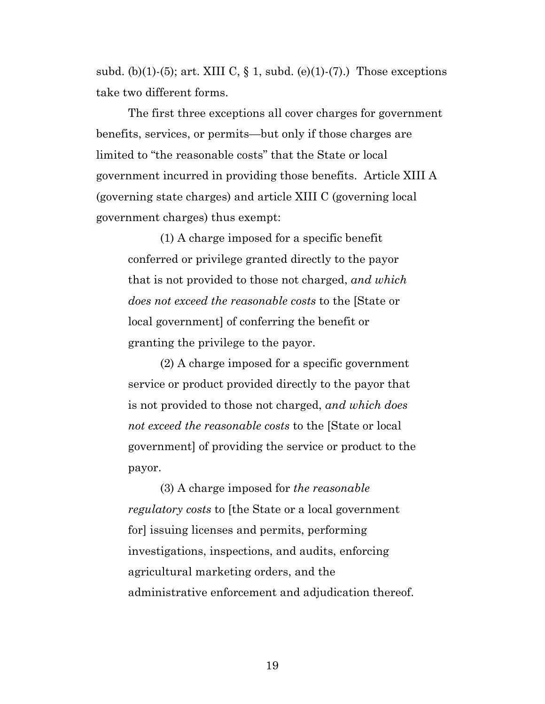subd. (b)(1)-(5); art. XIII C,  $\S$  1, subd. (e)(1)-(7).) Those exceptions take two different forms.

The first three exceptions all cover charges for government benefits, services, or permits—but only if those charges are limited to "the reasonable costs" that the State or local government incurred in providing those benefits. Article XIII A (governing state charges) and article XIII C (governing local government charges) thus exempt:

(1) A charge imposed for a specific benefit conferred or privilege granted directly to the payor that is not provided to those not charged, *and which does not exceed the reasonable costs* to the [State or local government] of conferring the benefit or granting the privilege to the payor.

(2) A charge imposed for a specific government service or product provided directly to the payor that is not provided to those not charged, *and which does not exceed the reasonable costs* to the [State or local government] of providing the service or product to the payor.

(3) A charge imposed for *the reasonable regulatory costs* to [the State or a local government for] issuing licenses and permits, performing investigations, inspections, and audits, enforcing agricultural marketing orders, and the administrative enforcement and adjudication thereof.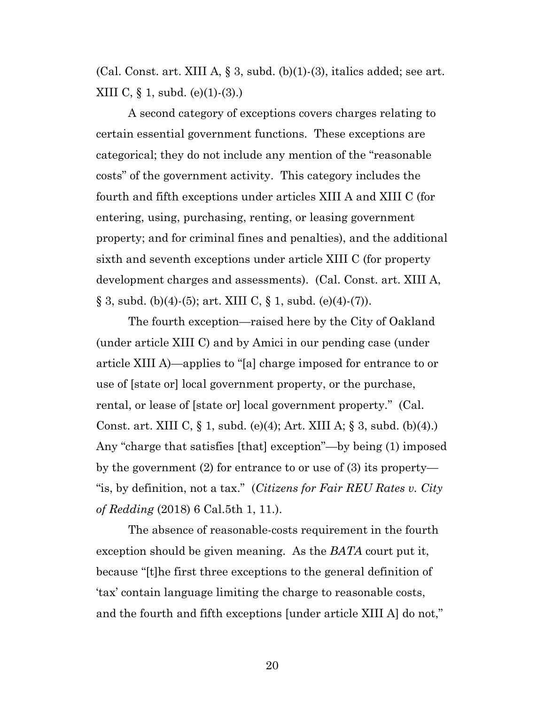(Cal. Const. art. XIII A,  $\S$  3, subd. (b)(1)-(3), italics added; see art. XIII C, § 1, subd. (e)(1)-(3).)

A second category of exceptions covers charges relating to certain essential government functions. These exceptions are categorical; they do not include any mention of the "reasonable costs" of the government activity. This category includes the fourth and fifth exceptions under articles XIII A and XIII C (for entering, using, purchasing, renting, or leasing government property; and for criminal fines and penalties), and the additional sixth and seventh exceptions under article XIII C (for property development charges and assessments). (Cal. Const. art. XIII A,  $\S 3$ , subd. (b)(4)-(5); art. XIII C,  $\S 1$ , subd. (e)(4)-(7)).

The fourth exception—raised here by the City of Oakland (under article XIII C) and by Amici in our pending case (under article XIII A)—applies to "[a] charge imposed for entrance to or use of [state or] local government property, or the purchase, rental, or lease of [state or] local government property." (Cal. Const. art. XIII C, § 1, subd. (e)(4); Art. XIII A; § 3, subd. (b)(4).) Any "charge that satisfies [that] exception"—by being (1) imposed by the government (2) for entrance to or use of (3) its property— "is, by definition, not a tax." (*Citizens for Fair REU Rates v. City of Redding* (2018) 6 Cal.5th 1, 11.).

The absence of reasonable-costs requirement in the fourth exception should be given meaning. As the *BATA* court put it, because "[t]he first three exceptions to the general definition of 'tax' contain language limiting the charge to reasonable costs, and the fourth and fifth exceptions [under article XIII A] do not,"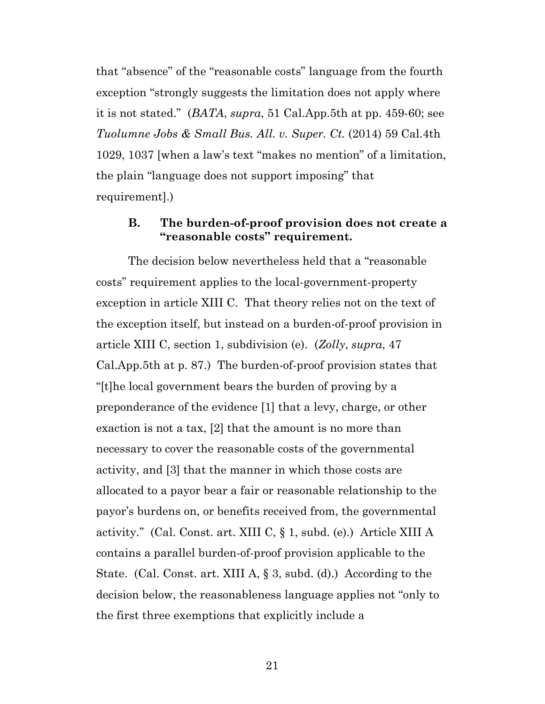that "absence" of the "reasonable costs" language from the fourth exception "strongly suggests the limitation does not apply where it is not stated." (*BATA*, *supra*, 51 Cal.App.5th at pp. 459-60; see *Tuolumne Jobs & Small Bus. All. v. Super. Ct.* (2014) 59 Cal.4th 1029, 1037 [when a law's text "makes no mention" of a limitation, the plain "language does not support imposing" that requirement].)

## <span id="page-20-0"></span>**B. The burden-of-proof provision does not create a "reasonable costs" requirement.**

The decision below nevertheless held that a "reasonable costs" requirement applies to the local-government-property exception in article XIII C. That theory relies not on the text of the exception itself, but instead on a burden-of-proof provision in article XIII C, section 1, subdivision (e). (*Zolly*, *supra*, 47 Cal.App.5th at p. 87.) The burden-of-proof provision states that "[t]he local government bears the burden of proving by a preponderance of the evidence [1] that a levy, charge, or other exaction is not a tax, [2] that the amount is no more than necessary to cover the reasonable costs of the governmental activity, and [3] that the manner in which those costs are allocated to a payor bear a fair or reasonable relationship to the payor's burdens on, or benefits received from, the governmental activity." (Cal. Const. art. XIII C, § 1, subd. (e).) Article XIII A contains a parallel burden-of-proof provision applicable to the State. (Cal. Const. art. XIII A, § 3, subd. (d).) According to the decision below, the reasonableness language applies not "only to the first three exemptions that explicitly include a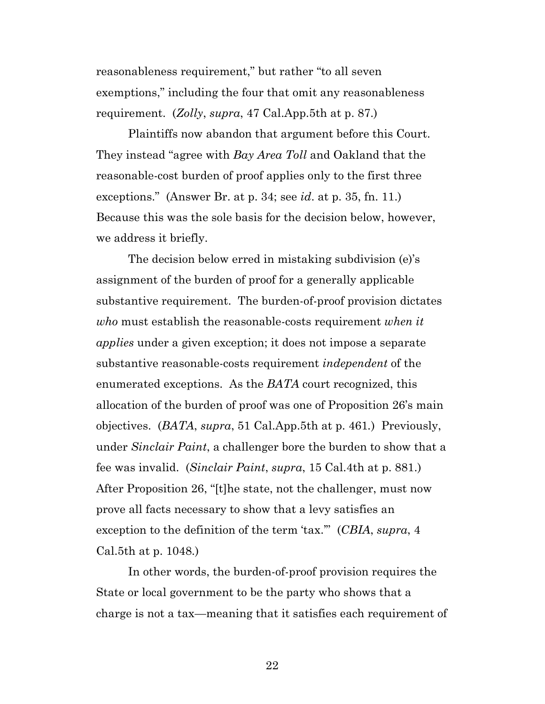reasonableness requirement," but rather "to all seven exemptions," including the four that omit any reasonableness requirement. (*Zolly*, *supra*, 47 Cal.App.5th at p. 87.)

Plaintiffs now abandon that argument before this Court. They instead "agree with *Bay Area Toll* and Oakland that the reasonable-cost burden of proof applies only to the first three exceptions." (Answer Br. at p. 34; see *id*. at p. 35, fn. 11.) Because this was the sole basis for the decision below, however, we address it briefly.

The decision below erred in mistaking subdivision (e)'s assignment of the burden of proof for a generally applicable substantive requirement. The burden-of-proof provision dictates *who* must establish the reasonable-costs requirement *when it applies* under a given exception; it does not impose a separate substantive reasonable-costs requirement *independent* of the enumerated exceptions. As the *BATA* court recognized, this allocation of the burden of proof was one of Proposition 26's main objectives. (*BATA*, *supra*, 51 Cal.App.5th at p. 461*.*) Previously, under *Sinclair Paint*, a challenger bore the burden to show that a fee was invalid. (*Sinclair Paint*, *supra*, 15 Cal.4th at p. 881.) After Proposition 26, "[t]he state, not the challenger, must now prove all facts necessary to show that a levy satisfies an exception to the definition of the term 'tax.'" (*CBIA*, *supra*, 4 Cal.5th at p. 1048.)

In other words, the burden-of-proof provision requires the State or local government to be the party who shows that a charge is not a tax—meaning that it satisfies each requirement of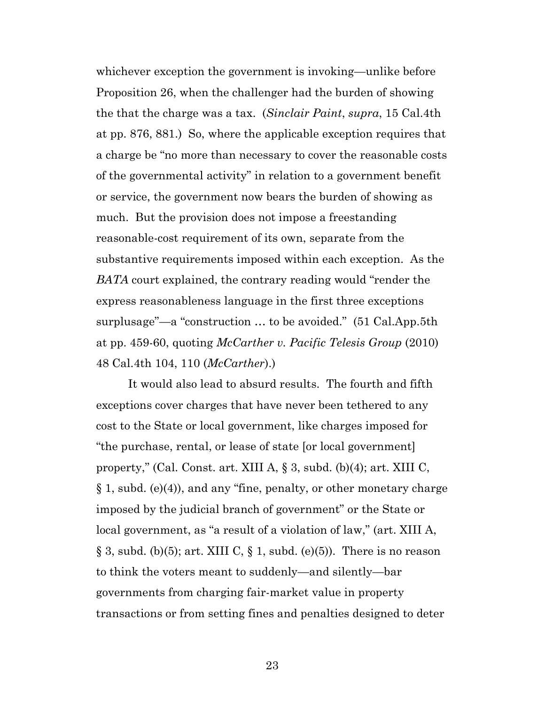whichever exception the government is invoking—unlike before Proposition 26, when the challenger had the burden of showing the that the charge was a tax. (*Sinclair Paint*, *supra*, 15 Cal.4th at pp. 876, 881.) So, where the applicable exception requires that a charge be "no more than necessary to cover the reasonable costs of the governmental activity" in relation to a government benefit or service, the government now bears the burden of showing as much. But the provision does not impose a freestanding reasonable-cost requirement of its own, separate from the substantive requirements imposed within each exception. As the *BATA* court explained, the contrary reading would "render the express reasonableness language in the first three exceptions surplusage"—a "construction … to be avoided." (51 Cal.App.5th at pp. 459-60, quoting *McCarther v. Pacific Telesis Group* (2010) 48 Cal.4th 104, 110 (*McCarther*).)

It would also lead to absurd results. The fourth and fifth exceptions cover charges that have never been tethered to any cost to the State or local government, like charges imposed for "the purchase, rental, or lease of state [or local government] property," (Cal. Const. art. XIII A, § 3, subd. (b)(4); art. XIII C, § 1, subd. (e)(4)), and any "fine, penalty, or other monetary charge imposed by the judicial branch of government" or the State or local government, as "a result of a violation of law," (art. XIII A,  $\S 3$ , subd. (b)(5); art. XIII C,  $\S 1$ , subd. (e)(5)). There is no reason to think the voters meant to suddenly—and silently—bar governments from charging fair-market value in property transactions or from setting fines and penalties designed to deter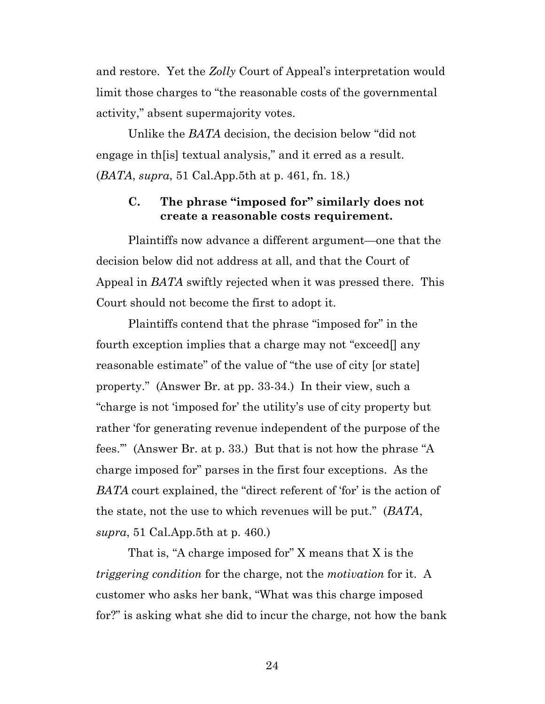and restore. Yet the *Zolly* Court of Appeal's interpretation would limit those charges to "the reasonable costs of the governmental activity," absent supermajority votes.

Unlike the *BATA* decision, the decision below "did not engage in th[is] textual analysis," and it erred as a result. (*BATA*, *supra*, 51 Cal.App.5th at p. 461, fn. 18.)

### <span id="page-23-0"></span>**C. The phrase "imposed for" similarly does not create a reasonable costs requirement.**

Plaintiffs now advance a different argument—one that the decision below did not address at all, and that the Court of Appeal in *BATA* swiftly rejected when it was pressed there. This Court should not become the first to adopt it.

Plaintiffs contend that the phrase "imposed for" in the fourth exception implies that a charge may not "exceed[] any reasonable estimate" of the value of "the use of city [or state] property." (Answer Br. at pp. 33-34.) In their view, such a "charge is not 'imposed for' the utility's use of city property but rather 'for generating revenue independent of the purpose of the fees.'" (Answer Br. at p. 33.) But that is not how the phrase "A charge imposed for" parses in the first four exceptions. As the *BATA* court explained, the "direct referent of 'for' is the action of the state, not the use to which revenues will be put." (*BATA*, *supra*, 51 Cal.App.5th at p. 460.)

That is, "A charge imposed for" X means that X is the *triggering condition* for the charge, not the *motivation* for it. A customer who asks her bank, "What was this charge imposed for?" is asking what she did to incur the charge, not how the bank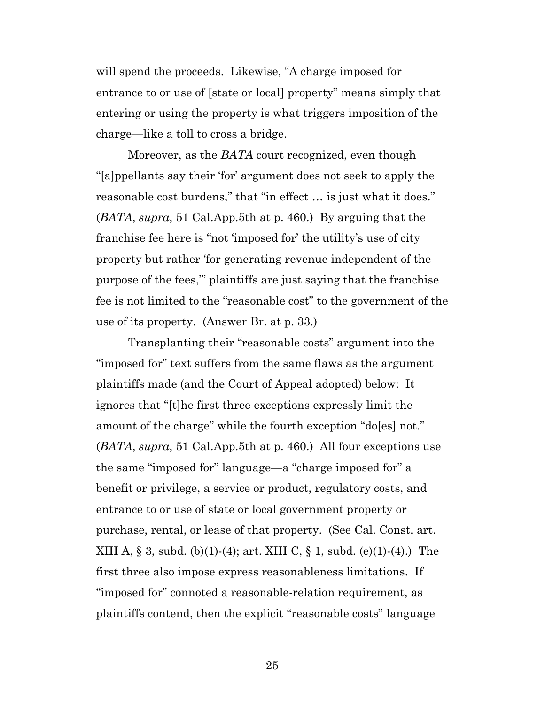will spend the proceeds. Likewise, "A charge imposed for entrance to or use of [state or local] property" means simply that entering or using the property is what triggers imposition of the charge—like a toll to cross a bridge.

Moreover, as the *BATA* court recognized, even though "[a]ppellants say their 'for' argument does not seek to apply the reasonable cost burdens," that "in effect … is just what it does." (*BATA*, *supra*, 51 Cal.App.5th at p. 460.) By arguing that the franchise fee here is "not 'imposed for' the utility's use of city property but rather 'for generating revenue independent of the purpose of the fees,'" plaintiffs are just saying that the franchise fee is not limited to the "reasonable cost" to the government of the use of its property. (Answer Br. at p. 33.)

Transplanting their "reasonable costs" argument into the "imposed for" text suffers from the same flaws as the argument plaintiffs made (and the Court of Appeal adopted) below: It ignores that "[t]he first three exceptions expressly limit the amount of the charge" while the fourth exception "do[es] not." (*BATA*, *supra*, 51 Cal.App.5th at p. 460.) All four exceptions use the same "imposed for" language—a "charge imposed for" a benefit or privilege, a service or product, regulatory costs, and entrance to or use of state or local government property or purchase, rental, or lease of that property. (See Cal. Const. art. XIII A,  $\S 3$ , subd. (b)(1)-(4); art. XIII C,  $\S 1$ , subd. (e)(1)-(4).) The first three also impose express reasonableness limitations. If "imposed for" connoted a reasonable-relation requirement, as plaintiffs contend, then the explicit "reasonable costs" language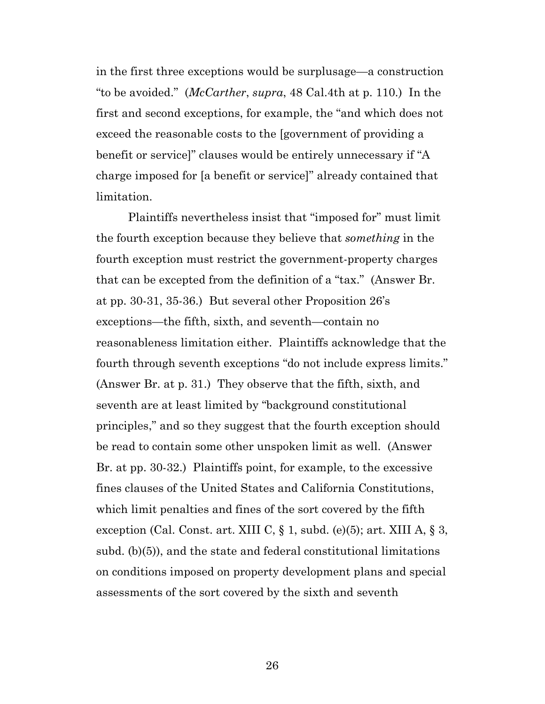in the first three exceptions would be surplusage—a construction "to be avoided." (*McCarther*, *supra*, 48 Cal.4th at p. 110.) In the first and second exceptions, for example, the "and which does not exceed the reasonable costs to the [government of providing a benefit or service]" clauses would be entirely unnecessary if "A charge imposed for [a benefit or service]" already contained that limitation.

Plaintiffs nevertheless insist that "imposed for" must limit the fourth exception because they believe that *something* in the fourth exception must restrict the government-property charges that can be excepted from the definition of a "tax." (Answer Br. at pp. 30-31, 35-36.) But several other Proposition 26's exceptions—the fifth, sixth, and seventh—contain no reasonableness limitation either. Plaintiffs acknowledge that the fourth through seventh exceptions "do not include express limits." (Answer Br. at p. 31.) They observe that the fifth, sixth, and seventh are at least limited by "background constitutional principles," and so they suggest that the fourth exception should be read to contain some other unspoken limit as well. (Answer Br. at pp. 30-32.) Plaintiffs point, for example, to the excessive fines clauses of the United States and California Constitutions, which limit penalties and fines of the sort covered by the fifth exception (Cal. Const. art. XIII C, § 1, subd. (e)(5); art. XIII A, § 3, subd. (b)(5)), and the state and federal constitutional limitations on conditions imposed on property development plans and special assessments of the sort covered by the sixth and seventh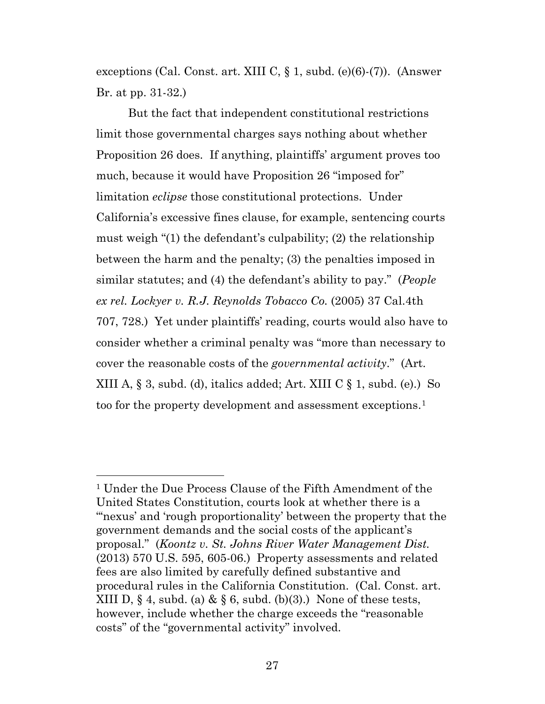exceptions (Cal. Const. art. XIII C, § 1, subd. (e)(6)-(7)). (Answer Br. at pp. 31-32.)

But the fact that independent constitutional restrictions limit those governmental charges says nothing about whether Proposition 26 does. If anything, plaintiffs' argument proves too much, because it would have Proposition 26 "imposed for" limitation *eclipse* those constitutional protections. Under California's excessive fines clause, for example, sentencing courts must weigh "(1) the defendant's culpability; (2) the relationship between the harm and the penalty; (3) the penalties imposed in similar statutes; and (4) the defendant's ability to pay." (*People ex rel. Lockyer v. R.J. Reynolds Tobacco Co.* (2005) 37 Cal.4th 707, 728.) Yet under plaintiffs' reading, courts would also have to consider whether a criminal penalty was "more than necessary to cover the reasonable costs of the *governmental activity*." (Art. XIII A,  $\S$  3, subd. (d), italics added; Art. XIII C  $\S$  1, subd. (e).) So too for the property development and assessment exceptions.<sup>1</sup>

<span id="page-26-0"></span><sup>1</sup> Under the Due Process Clause of the Fifth Amendment of the United States Constitution, courts look at whether there is a "'nexus' and 'rough proportionality' between the property that the government demands and the social costs of the applicant's proposal." (*Koontz v. St. Johns River Water Management Dist.* (2013) 570 U.S. 595, 605-06.) Property assessments and related fees are also limited by carefully defined substantive and procedural rules in the California Constitution. (Cal. Const. art. XIII D,  $\S 4$ , subd. (a) &  $\S 6$ , subd. (b)(3).) None of these tests, however, include whether the charge exceeds the "reasonable costs" of the "governmental activity" involved.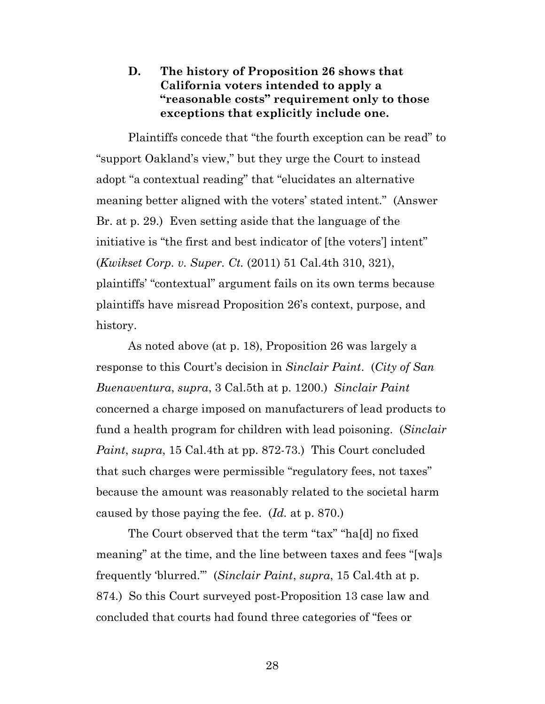# <span id="page-27-0"></span>**D. The history of Proposition 26 shows that California voters intended to apply a "reasonable costs" requirement only to those exceptions that explicitly include one.**

Plaintiffs concede that "the fourth exception can be read" to "support Oakland's view," but they urge the Court to instead adopt "a contextual reading" that "elucidates an alternative meaning better aligned with the voters' stated intent." (Answer Br. at p. 29.) Even setting aside that the language of the initiative is "the first and best indicator of [the voters'] intent" (*Kwikset Corp. v. Super. Ct.* (2011) 51 Cal.4th 310, 321), plaintiffs' "contextual" argument fails on its own terms because plaintiffs have misread Proposition 26's context, purpose, and history.

As noted above (at p. 18), Proposition 26 was largely a response to this Court's decision in *Sinclair Paint*. (*City of San Buenaventura*, *supra*, 3 Cal.5th at p. 1200.) *Sinclair Paint* concerned a charge imposed on manufacturers of lead products to fund a health program for children with lead poisoning. (*Sinclair Paint*, *supra*, 15 Cal.4th at pp. 872-73.) This Court concluded that such charges were permissible "regulatory fees, not taxes" because the amount was reasonably related to the societal harm caused by those paying the fee. (*Id.* at p. 870.)

The Court observed that the term "tax" "ha[d] no fixed meaning" at the time, and the line between taxes and fees "[wa]s frequently 'blurred.'" (*Sinclair Paint*, *supra*, 15 Cal.4th at p. 874.) So this Court surveyed post-Proposition 13 case law and concluded that courts had found three categories of "fees or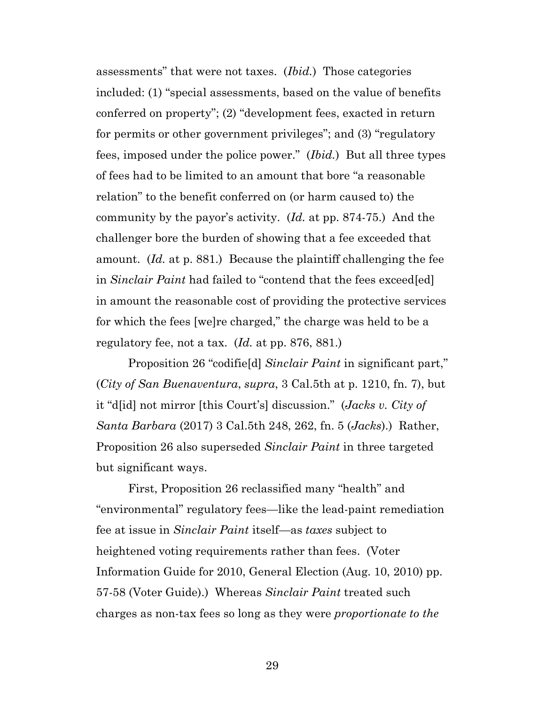assessments" that were not taxes. (*Ibid.*) Those categories included: (1) "special assessments, based on the value of benefits conferred on property"; (2) "development fees, exacted in return for permits or other government privileges"; and (3) "regulatory fees, imposed under the police power." (*Ibid.*) But all three types of fees had to be limited to an amount that bore "a reasonable relation" to the benefit conferred on (or harm caused to) the community by the payor's activity. (*Id.* at pp. 874-75.) And the challenger bore the burden of showing that a fee exceeded that amount. (*Id.* at p. 881.) Because the plaintiff challenging the fee in *Sinclair Paint* had failed to "contend that the fees exceed[ed] in amount the reasonable cost of providing the protective services for which the fees [we]re charged," the charge was held to be a regulatory fee, not a tax. (*Id.* at pp. 876, 881.)

Proposition 26 "codifie[d] *Sinclair Paint* in significant part," (*City of San Buenaventura*, *supra*, 3 Cal.5th at p. 1210, fn. 7), but it "d[id] not mirror [this Court's] discussion." (*Jacks v. City of Santa Barbara* (2017) 3 Cal.5th 248, 262, fn. 5 (*Jacks*).) Rather, Proposition 26 also superseded *Sinclair Paint* in three targeted but significant ways.

First, Proposition 26 reclassified many "health" and "environmental" regulatory fees—like the lead-paint remediation fee at issue in *Sinclair Paint* itself—as *taxes* subject to heightened voting requirements rather than fees. (Voter Information Guide for 2010, General Election (Aug. 10, 2010) pp. 57-58 (Voter Guide).) Whereas *Sinclair Paint* treated such charges as non-tax fees so long as they were *proportionate to the*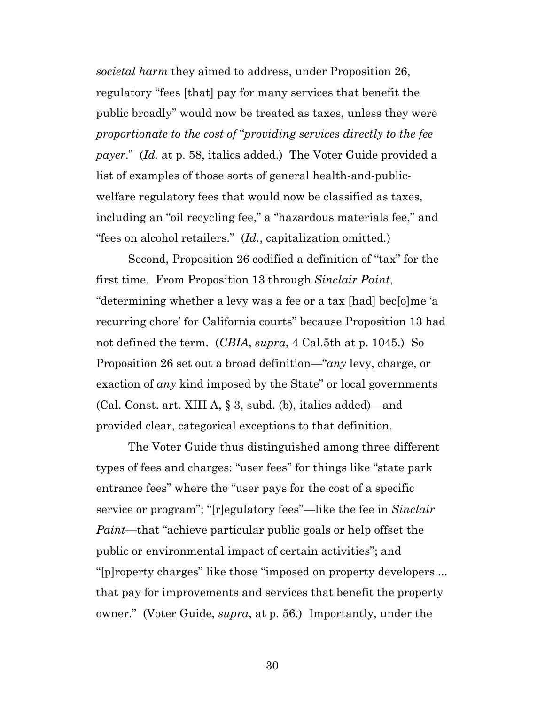*societal harm* they aimed to address, under Proposition 26, regulatory "fees [that] pay for many services that benefit the public broadly" would now be treated as taxes, unless they were *proportionate to the cost of* "*providing services directly to the fee payer*." (*Id.* at p. 58, italics added.) The Voter Guide provided a list of examples of those sorts of general health-and-publicwelfare regulatory fees that would now be classified as taxes, including an "oil recycling fee," a "hazardous materials fee," and "fees on alcohol retailers." (*Id.*, capitalization omitted*.*)

Second, Proposition 26 codified a definition of "tax" for the first time. From Proposition 13 through *Sinclair Paint*, "determining whether a levy was a fee or a tax [had] bec[o]me 'a recurring chore' for California courts" because Proposition 13 had not defined the term. (*CBIA*, *supra*, 4 Cal.5th at p. 1045.) So Proposition 26 set out a broad definition—"*any* levy, charge, or exaction of *any* kind imposed by the State" or local governments (Cal. Const. art. XIII A, § 3, subd. (b), italics added)—and provided clear, categorical exceptions to that definition.

The Voter Guide thus distinguished among three different types of fees and charges: "user fees" for things like "state park entrance fees" where the "user pays for the cost of a specific service or program"; "[r]egulatory fees"—like the fee in *Sinclair Paint*—that "achieve particular public goals or help offset the public or environmental impact of certain activities"; and "[p]roperty charges" like those "imposed on property developers ... that pay for improvements and services that benefit the property owner." (Voter Guide, *supra*, at p. 56.) Importantly, under the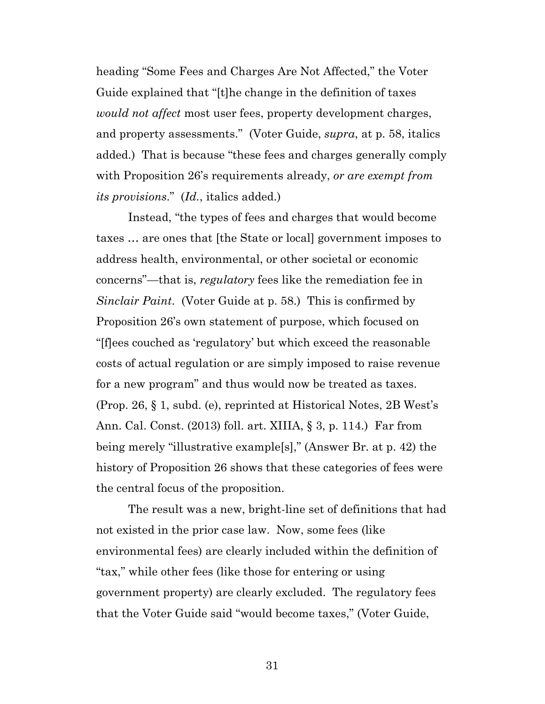heading "Some Fees and Charges Are Not Affected," the Voter Guide explained that "[t]he change in the definition of taxes *would not affect* most user fees, property development charges, and property assessments." (Voter Guide, *supra*, at p. 58, italics added.) That is because "these fees and charges generally comply with Proposition 26's requirements already, *or are exempt from its provisions*." (*Id.*, italics added.)

Instead, "the types of fees and charges that would become taxes … are ones that [the State or local] government imposes to address health, environmental, or other societal or economic concerns"—that is, *regulatory* fees like the remediation fee in *Sinclair Paint*. (Voter Guide at p. 58.) This is confirmed by Proposition 26's own statement of purpose, which focused on "[f]ees couched as 'regulatory' but which exceed the reasonable costs of actual regulation or are simply imposed to raise revenue for a new program" and thus would now be treated as taxes. (Prop. 26, § 1, subd. (e), reprinted at Historical Notes, 2B West's Ann. Cal. Const. (2013) foll. art. XIIIA, § 3, p. 114.) Far from being merely "illustrative example[s]," (Answer Br. at p. 42) the history of Proposition 26 shows that these categories of fees were the central focus of the proposition.

The result was a new, bright-line set of definitions that had not existed in the prior case law. Now, some fees (like environmental fees) are clearly included within the definition of "tax," while other fees (like those for entering or using government property) are clearly excluded. The regulatory fees that the Voter Guide said "would become taxes," (Voter Guide,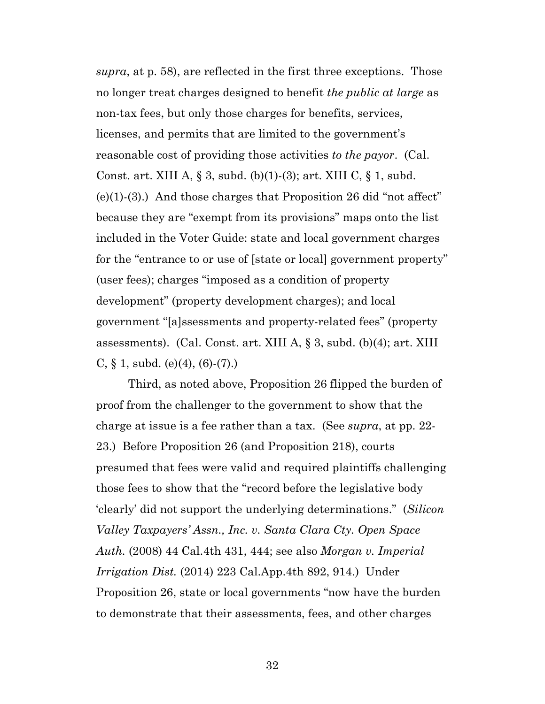*supra*, at p. 58), are reflected in the first three exceptions. Those no longer treat charges designed to benefit *the public at large* as non-tax fees, but only those charges for benefits, services, licenses, and permits that are limited to the government's reasonable cost of providing those activities *to the payor*. (Cal. Const. art. XIII A, § 3, subd. (b)(1)-(3); art. XIII C, § 1, subd.  $(e)(1)-(3)$ .) And those charges that Proposition 26 did "not affect" because they are "exempt from its provisions" maps onto the list included in the Voter Guide: state and local government charges for the "entrance to or use of [state or local] government property" (user fees); charges "imposed as a condition of property development" (property development charges); and local government "[a]ssessments and property-related fees" (property assessments). (Cal. Const. art. XIII A, § 3, subd. (b)(4); art. XIII C,  $\S$  1, subd. (e)(4), (6)-(7).)

Third, as noted above, Proposition 26 flipped the burden of proof from the challenger to the government to show that the charge at issue is a fee rather than a tax. (See *supra*, at pp. 22- 23.) Before Proposition 26 (and Proposition 218), courts presumed that fees were valid and required plaintiffs challenging those fees to show that the "record before the legislative body 'clearly' did not support the underlying determinations." (*Silicon Valley Taxpayers' Assn., Inc. v. Santa Clara Cty. Open Space Auth.* (2008) 44 Cal.4th 431, 444; see also *Morgan v. Imperial Irrigation Dist.* (2014) 223 Cal.App.4th 892, 914.) Under Proposition 26, state or local governments "now have the burden to demonstrate that their assessments, fees, and other charges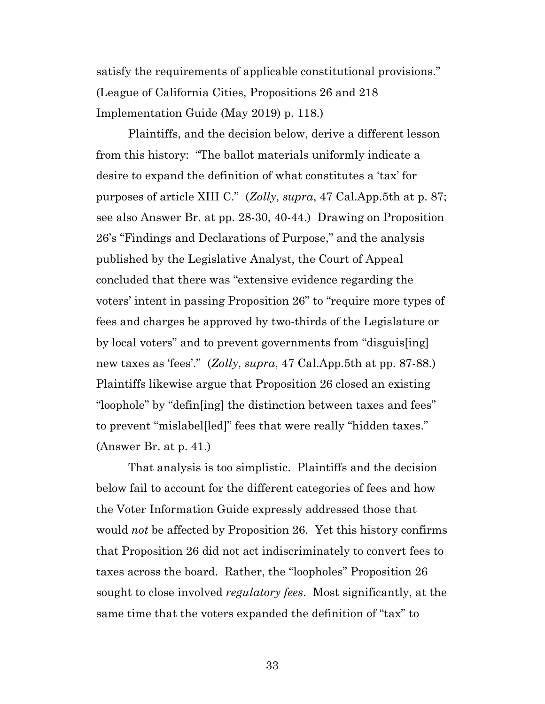satisfy the requirements of applicable constitutional provisions." (League of California Cities, Propositions 26 and 218 Implementation Guide (May 2019) p. 118.)

Plaintiffs, and the decision below, derive a different lesson from this history: "The ballot materials uniformly indicate a desire to expand the definition of what constitutes a 'tax' for purposes of article XIII C." (*Zolly*, *supra*, 47 Cal.App.5th at p. 87; see also Answer Br. at pp. 28-30, 40-44.) Drawing on Proposition 26's "Findings and Declarations of Purpose," and the analysis published by the Legislative Analyst, the Court of Appeal concluded that there was "extensive evidence regarding the voters' intent in passing Proposition 26" to "require more types of fees and charges be approved by two-thirds of the Legislature or by local voters" and to prevent governments from "disguis[ing] new taxes as 'fees'." (*Zolly*, *supra*, 47 Cal.App.5th at pp. 87-88.) Plaintiffs likewise argue that Proposition 26 closed an existing "loophole" by "defin[ing] the distinction between taxes and fees" to prevent "mislabel[led]" fees that were really "hidden taxes." (Answer Br. at p. 41.)

That analysis is too simplistic. Plaintiffs and the decision below fail to account for the different categories of fees and how the Voter Information Guide expressly addressed those that would *not* be affected by Proposition 26. Yet this history confirms that Proposition 26 did not act indiscriminately to convert fees to taxes across the board. Rather, the "loopholes" Proposition 26 sought to close involved *regulatory fees*. Most significantly, at the same time that the voters expanded the definition of "tax" to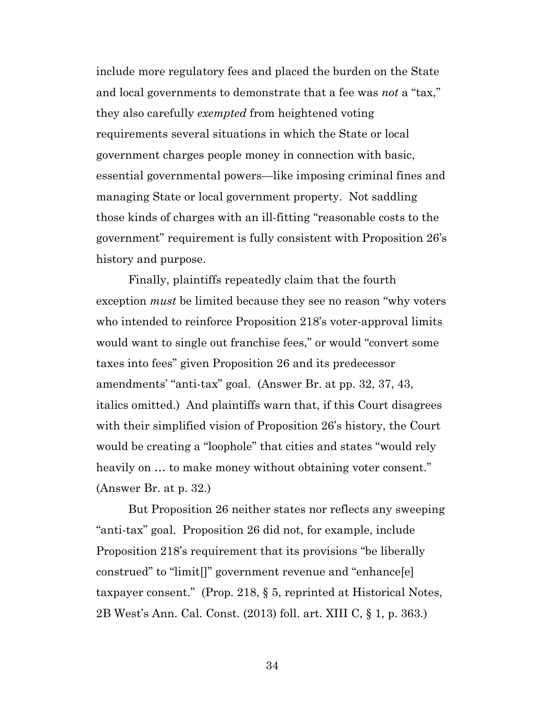include more regulatory fees and placed the burden on the State and local governments to demonstrate that a fee was *not* a "tax," they also carefully *exempted* from heightened voting requirements several situations in which the State or local government charges people money in connection with basic, essential governmental powers—like imposing criminal fines and managing State or local government property. Not saddling those kinds of charges with an ill-fitting "reasonable costs to the government" requirement is fully consistent with Proposition 26's history and purpose.

Finally, plaintiffs repeatedly claim that the fourth exception *must* be limited because they see no reason "why voters who intended to reinforce Proposition 218's voter-approval limits would want to single out franchise fees," or would "convert some taxes into fees" given Proposition 26 and its predecessor amendments' "anti-tax" goal. (Answer Br. at pp. 32, 37, 43, italics omitted.) And plaintiffs warn that, if this Court disagrees with their simplified vision of Proposition 26's history, the Court would be creating a "loophole" that cities and states "would rely heavily on ... to make money without obtaining voter consent." (Answer Br. at p. 32.)

But Proposition 26 neither states nor reflects any sweeping "anti-tax" goal. Proposition 26 did not, for example, include Proposition 218's requirement that its provisions "be liberally construed" to "limit[]" government revenue and "enhance[e] taxpayer consent." (Prop. 218, § 5, reprinted at Historical Notes, 2B West's Ann. Cal. Const. (2013) foll. art. XIII C, § 1, p. 363.)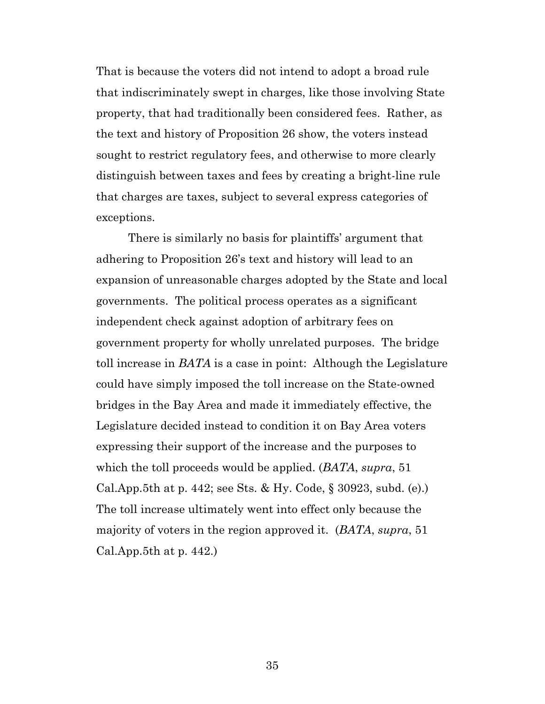That is because the voters did not intend to adopt a broad rule that indiscriminately swept in charges, like those involving State property, that had traditionally been considered fees. Rather, as the text and history of Proposition 26 show, the voters instead sought to restrict regulatory fees, and otherwise to more clearly distinguish between taxes and fees by creating a bright-line rule that charges are taxes, subject to several express categories of exceptions.

There is similarly no basis for plaintiffs' argument that adhering to Proposition 26's text and history will lead to an expansion of unreasonable charges adopted by the State and local governments. The political process operates as a significant independent check against adoption of arbitrary fees on government property for wholly unrelated purposes. The bridge toll increase in *BATA* is a case in point: Although the Legislature could have simply imposed the toll increase on the State-owned bridges in the Bay Area and made it immediately effective, the Legislature decided instead to condition it on Bay Area voters expressing their support of the increase and the purposes to which the toll proceeds would be applied. (*BATA*, *supra*, 51 Cal.App.5th at p. 442; see Sts. & Hy. Code, § 30923, subd. (e).) The toll increase ultimately went into effect only because the majority of voters in the region approved it. (*BATA*, *supra*, 51 Cal.App.5th at p. 442.)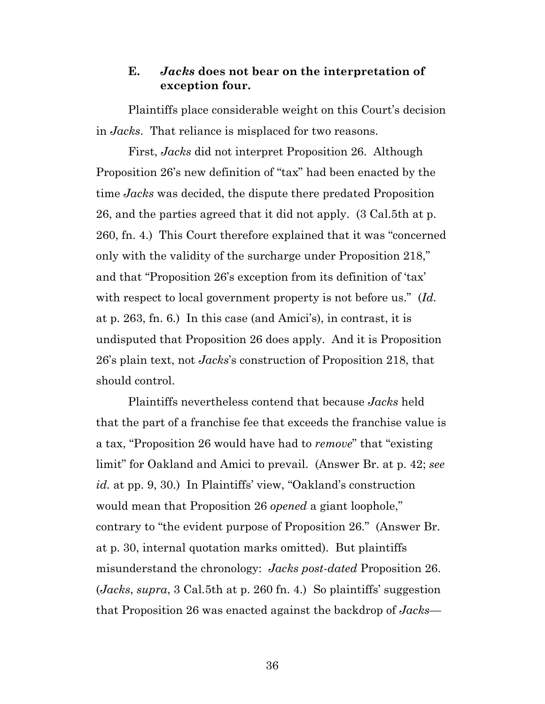## <span id="page-35-0"></span>**E.** *Jacks* **does not bear on the interpretation of exception four.**

Plaintiffs place considerable weight on this Court's decision in *Jacks*. That reliance is misplaced for two reasons.

First, *Jacks* did not interpret Proposition 26. Although Proposition 26's new definition of "tax" had been enacted by the time *Jacks* was decided, the dispute there predated Proposition 26, and the parties agreed that it did not apply. (3 Cal.5th at p. 260, fn. 4.) This Court therefore explained that it was "concerned only with the validity of the surcharge under Proposition 218," and that "Proposition 26's exception from its definition of 'tax' with respect to local government property is not before us." (*Id.* at p. 263, fn. 6.) In this case (and Amici's), in contrast, it is undisputed that Proposition 26 does apply. And it is Proposition 26's plain text, not *Jacks*'s construction of Proposition 218, that should control.

Plaintiffs nevertheless contend that because *Jacks* held that the part of a franchise fee that exceeds the franchise value is a tax, "Proposition 26 would have had to *remove*" that "existing limit" for Oakland and Amici to prevail. (Answer Br. at p. 42; *see id.* at pp. 9, 30.) In Plaintiffs' view, "Oakland's construction would mean that Proposition 26 *opened* a giant loophole," contrary to "the evident purpose of Proposition 26." (Answer Br. at p. 30, internal quotation marks omitted). But plaintiffs misunderstand the chronology: *Jacks post-dated* Proposition 26. (*Jacks*, *supra*, 3 Cal.5th at p. 260 fn. 4.) So plaintiffs' suggestion that Proposition 26 was enacted against the backdrop of *Jacks*—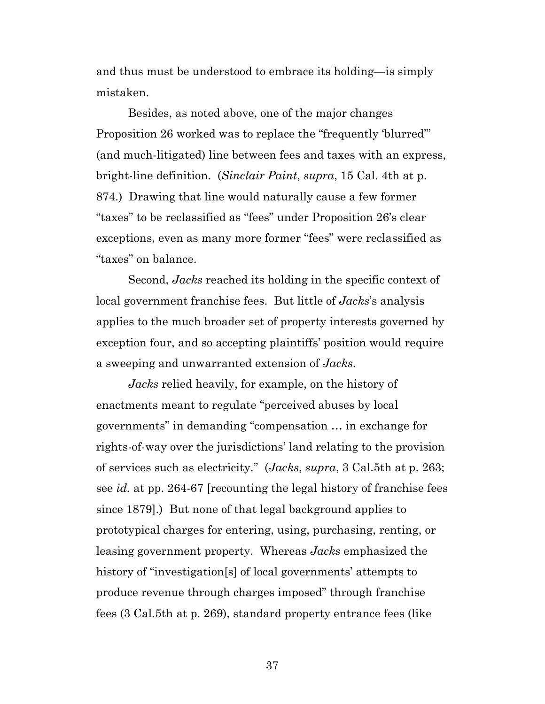and thus must be understood to embrace its holding—is simply mistaken.

Besides, as noted above, one of the major changes Proposition 26 worked was to replace the "frequently 'blurred'" (and much-litigated) line between fees and taxes with an express, bright-line definition. (*Sinclair Paint*, *supra*, 15 Cal. 4th at p. 874.) Drawing that line would naturally cause a few former "taxes" to be reclassified as "fees" under Proposition 26's clear exceptions, even as many more former "fees" were reclassified as "taxes" on balance.

Second, *Jacks* reached its holding in the specific context of local government franchise fees. But little of *Jacks*'s analysis applies to the much broader set of property interests governed by exception four, and so accepting plaintiffs' position would require a sweeping and unwarranted extension of *Jacks*.

*Jacks* relied heavily, for example, on the history of enactments meant to regulate "perceived abuses by local governments" in demanding "compensation … in exchange for rights-of-way over the jurisdictions' land relating to the provision of services such as electricity." (*Jacks*, *supra*, 3 Cal.5th at p. 263; see *id.* at pp. 264-67 [recounting the legal history of franchise fees since 1879].) But none of that legal background applies to prototypical charges for entering, using, purchasing, renting, or leasing government property. Whereas *Jacks* emphasized the history of "investigation<sup>[s]</sup> of local governments' attempts to produce revenue through charges imposed" through franchise fees (3 Cal.5th at p. 269), standard property entrance fees (like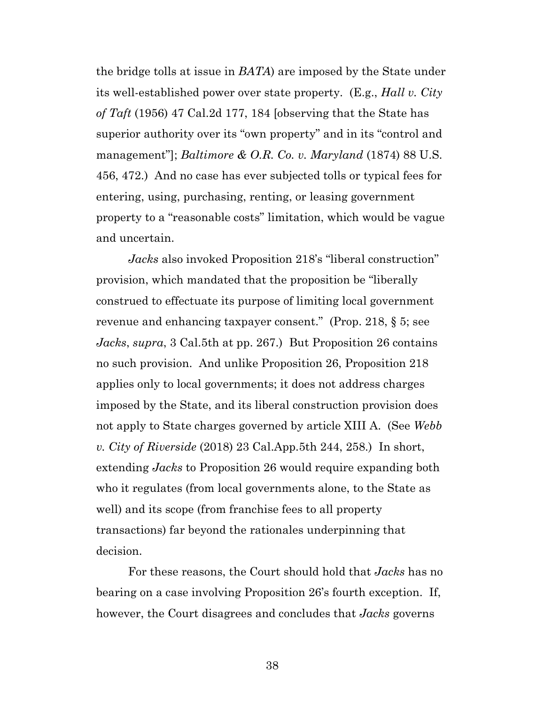the bridge tolls at issue in *BATA*) are imposed by the State under its well-established power over state property. (E.g., *Hall v. City of Taft* (1956) 47 Cal.2d 177, 184 [observing that the State has superior authority over its "own property" and in its "control and management"]; *Baltimore & O.R. Co. v. Maryland* (1874) 88 U.S. 456, 472.) And no case has ever subjected tolls or typical fees for entering, using, purchasing, renting, or leasing government property to a "reasonable costs" limitation, which would be vague and uncertain.

*Jacks* also invoked Proposition 218's "liberal construction" provision, which mandated that the proposition be "liberally construed to effectuate its purpose of limiting local government revenue and enhancing taxpayer consent." (Prop. 218, § 5; see *Jacks*, *supra*, 3 Cal.5th at pp. 267.) But Proposition 26 contains no such provision. And unlike Proposition 26, Proposition 218 applies only to local governments; it does not address charges imposed by the State, and its liberal construction provision does not apply to State charges governed by article XIII A. (See *Webb v. City of Riverside* (2018) 23 Cal.App.5th 244, 258.) In short, extending *Jacks* to Proposition 26 would require expanding both who it regulates (from local governments alone, to the State as well) and its scope (from franchise fees to all property transactions) far beyond the rationales underpinning that decision.

For these reasons, the Court should hold that *Jacks* has no bearing on a case involving Proposition 26's fourth exception. If, however, the Court disagrees and concludes that *Jacks* governs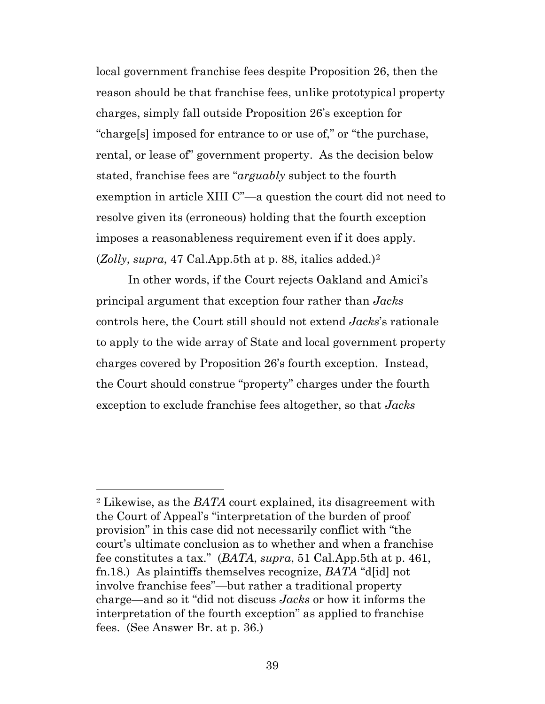local government franchise fees despite Proposition 26, then the reason should be that franchise fees, unlike prototypical property charges, simply fall outside Proposition 26's exception for "charge[s] imposed for entrance to or use of," or "the purchase, rental, or lease of" government property. As the decision below stated, franchise fees are "*arguably* subject to the fourth exemption in article XIII C"—a question the court did not need to resolve given its (erroneous) holding that the fourth exception imposes a reasonableness requirement even if it does apply. (*Zolly*, *supra*, 47 Cal.App.5th at p. 88, italics added.)[2](#page-38-0)

In other words, if the Court rejects Oakland and Amici's principal argument that exception four rather than *Jacks* controls here, the Court still should not extend *Jacks*'s rationale to apply to the wide array of State and local government property charges covered by Proposition 26's fourth exception. Instead, the Court should construe "property" charges under the fourth exception to exclude franchise fees altogether, so that *Jacks*

<span id="page-38-0"></span><sup>2</sup> Likewise, as the *BATA* court explained, its disagreement with the Court of Appeal's "interpretation of the burden of proof provision" in this case did not necessarily conflict with "the court's ultimate conclusion as to whether and when a franchise fee constitutes a tax." (*BATA*, *supra*, 51 Cal.App.5th at p. 461, fn.18.) As plaintiffs themselves recognize, *BATA* "d[id] not involve franchise fees"—but rather a traditional property charge—and so it "did not discuss *Jacks* or how it informs the interpretation of the fourth exception" as applied to franchise fees. (See Answer Br. at p. 36.)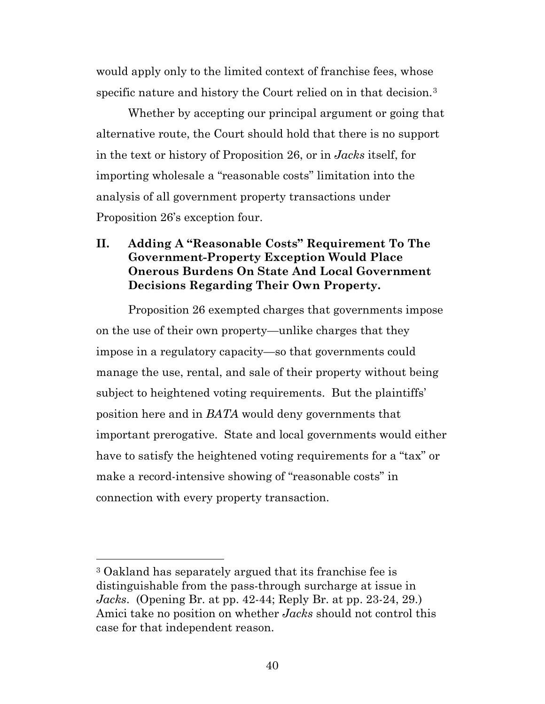would apply only to the limited context of franchise fees, whose specific nature and history the Court relied on in that decision.<sup>[3](#page-39-1)</sup>

Whether by accepting our principal argument or going that alternative route, the Court should hold that there is no support in the text or history of Proposition 26, or in *Jacks* itself, for importing wholesale a "reasonable costs" limitation into the analysis of all government property transactions under Proposition 26's exception four.

# <span id="page-39-0"></span>**II. Adding A "Reasonable Costs" Requirement To The Government-Property Exception Would Place Onerous Burdens On State And Local Government Decisions Regarding Their Own Property.**

Proposition 26 exempted charges that governments impose on the use of their own property—unlike charges that they impose in a regulatory capacity—so that governments could manage the use, rental, and sale of their property without being subject to heightened voting requirements. But the plaintiffs' position here and in *BATA* would deny governments that important prerogative. State and local governments would either have to satisfy the heightened voting requirements for a "tax" or make a record-intensive showing of "reasonable costs" in connection with every property transaction.

<span id="page-39-1"></span><sup>3</sup> Oakland has separately argued that its franchise fee is distinguishable from the pass-through surcharge at issue in *Jacks*. (Opening Br. at pp. 42-44; Reply Br. at pp. 23-24, 29.) Amici take no position on whether *Jacks* should not control this case for that independent reason.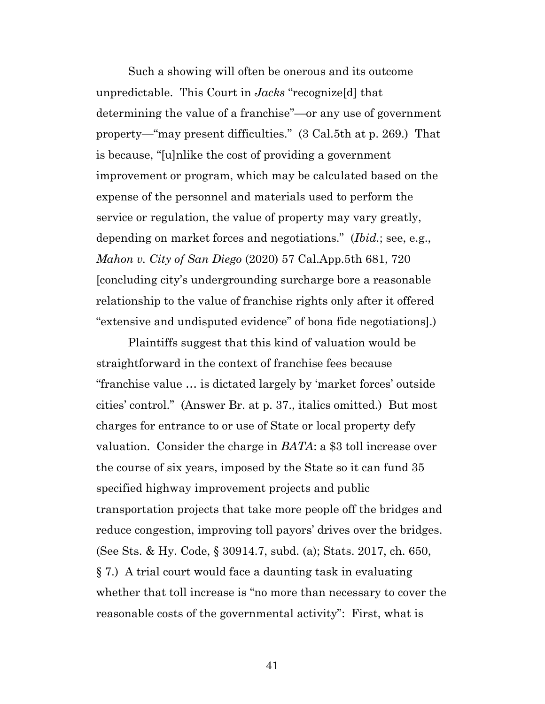Such a showing will often be onerous and its outcome unpredictable. This Court in *Jacks* "recognize[d] that determining the value of a franchise"—or any use of government property—"may present difficulties." (3 Cal.5th at p. 269.) That is because, "[u]nlike the cost of providing a government improvement or program, which may be calculated based on the expense of the personnel and materials used to perform the service or regulation, the value of property may vary greatly, depending on market forces and negotiations." (*Ibid.*; see, e.g., *Mahon v. City of San Diego* (2020) 57 Cal.App.5th 681, 720 [concluding city's undergrounding surcharge bore a reasonable relationship to the value of franchise rights only after it offered "extensive and undisputed evidence" of bona fide negotiations].)

Plaintiffs suggest that this kind of valuation would be straightforward in the context of franchise fees because "franchise value … is dictated largely by 'market forces' outside cities' control." (Answer Br. at p. 37., italics omitted.) But most charges for entrance to or use of State or local property defy valuation. Consider the charge in *BATA*: a \$3 toll increase over the course of six years, imposed by the State so it can fund 35 specified highway improvement projects and public transportation projects that take more people off the bridges and reduce congestion, improving toll payors' drives over the bridges. (See Sts. & Hy. Code, § 30914.7, subd. (a); Stats. 2017, ch. 650, § 7.) A trial court would face a daunting task in evaluating whether that toll increase is "no more than necessary to cover the reasonable costs of the governmental activity": First, what is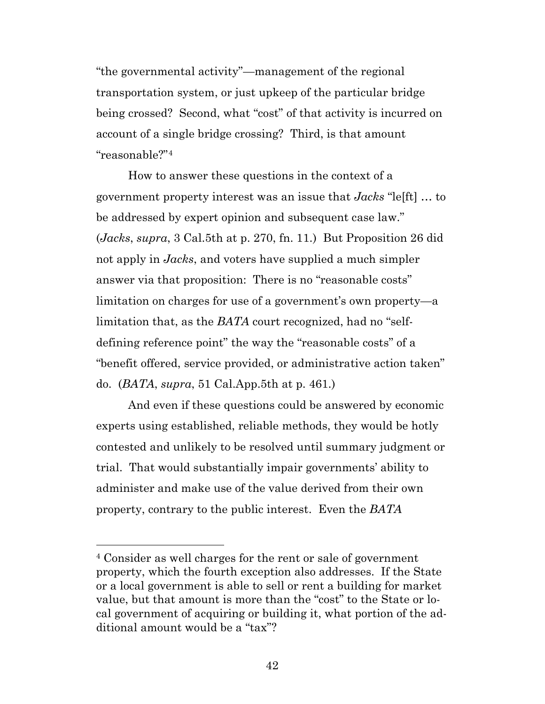"the governmental activity"—management of the regional transportation system, or just upkeep of the particular bridge being crossed? Second, what "cost" of that activity is incurred on account of a single bridge crossing? Third, is that amount "reasonable?"[4](#page-41-0)

How to answer these questions in the context of a government property interest was an issue that *Jacks* "le[ft] … to be addressed by expert opinion and subsequent case law." (*Jacks*, *supra*, 3 Cal.5th at p. 270, fn. 11.) But Proposition 26 did not apply in *Jacks*, and voters have supplied a much simpler answer via that proposition: There is no "reasonable costs" limitation on charges for use of a government's own property—a limitation that, as the *BATA* court recognized, had no "selfdefining reference point" the way the "reasonable costs" of a "benefit offered, service provided, or administrative action taken" do. (*BATA*, *supra*, 51 Cal.App.5th at p. 461.)

And even if these questions could be answered by economic experts using established, reliable methods, they would be hotly contested and unlikely to be resolved until summary judgment or trial. That would substantially impair governments' ability to administer and make use of the value derived from their own property, contrary to the public interest. Even the *BATA*

<span id="page-41-0"></span><sup>4</sup> Consider as well charges for the rent or sale of government property, which the fourth exception also addresses. If the State or a local government is able to sell or rent a building for market value, but that amount is more than the "cost" to the State or local government of acquiring or building it, what portion of the additional amount would be a "tax"?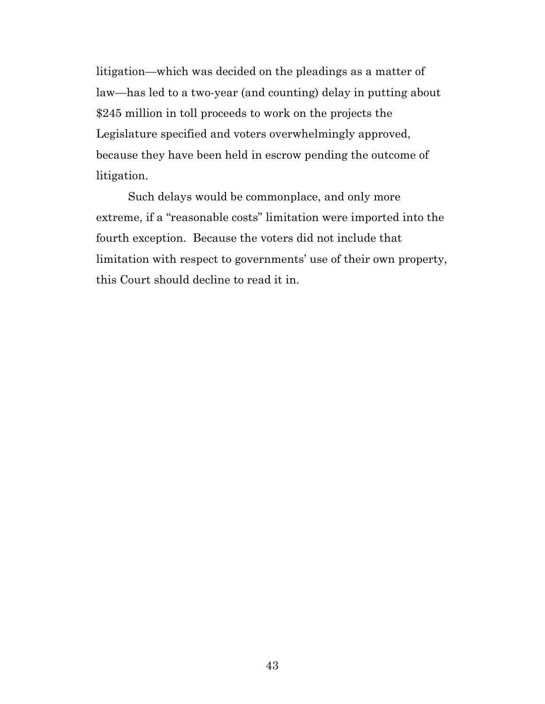litigation—which was decided on the pleadings as a matter of law—has led to a two-year (and counting) delay in putting about \$245 million in toll proceeds to work on the projects the Legislature specified and voters overwhelmingly approved, because they have been held in escrow pending the outcome of litigation.

Such delays would be commonplace, and only more extreme, if a "reasonable costs" limitation were imported into the fourth exception. Because the voters did not include that limitation with respect to governments' use of their own property, this Court should decline to read it in.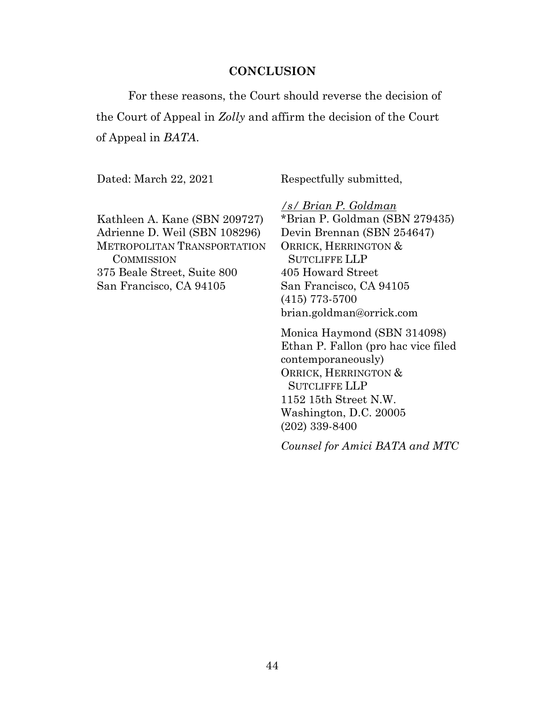#### **CONCLUSION**

<span id="page-43-0"></span>For these reasons, the Court should reverse the decision of the Court of Appeal in *Zolly* and affirm the decision of the Court of Appeal in *BATA*.

Dated: March 22, 2021

Respectfully submitted,

Kathleen A. Kane (SBN 209727) Adrienne D. Weil (SBN 108296) METROPOLITAN TRANSPORTATION **COMMISSION** 375 Beale Street, Suite 800 San Francisco, CA 94105

*/s/ Brian P. Goldman* \*Brian P. Goldman (SBN 279435) Devin Brennan (SBN 254647) ORRICK, HERRINGTON & SUTCLIFFE LLP 405 Howard Street San Francisco, CA 94105 (415) 773-5700 [brian.goldman@orrick.com](mailto:Brian.goldman@orrick.com)

Monica Haymond (SBN 314098) Ethan P. Fallon (pro hac vice filed contemporaneously) ORRICK, HERRINGTON & SUTCLIFFE LLP 1152 15th Street N.W. Washington, D.C. 20005 (202) 339-8400

*Counsel for Amici BATA and MTC*